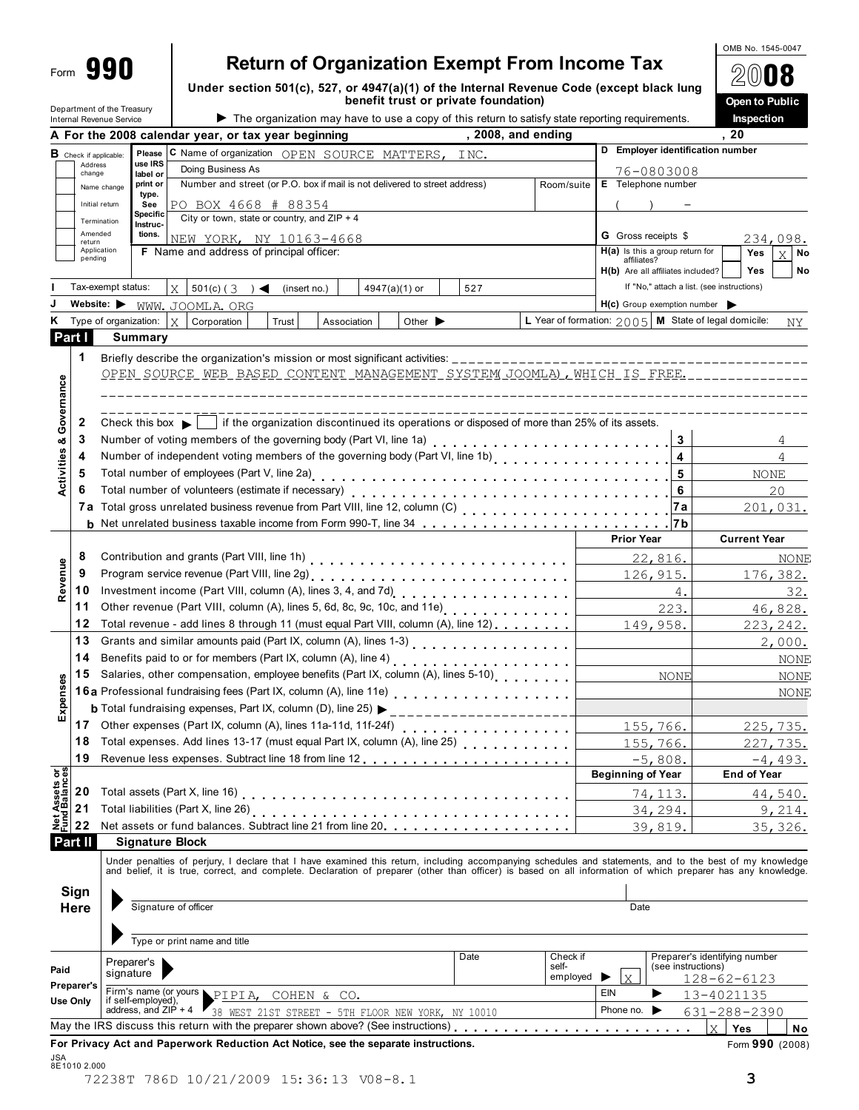| 990<br>Form                                                       | <b>Return of Organization Exempt From Income Tax</b>                                                                                                             |                                                        | OMB No. 1545-0047             |
|-------------------------------------------------------------------|------------------------------------------------------------------------------------------------------------------------------------------------------------------|--------------------------------------------------------|-------------------------------|
|                                                                   | Under section 501(c), 527, or 4947(a)(1) of the Internal Revenue Code (except black lung                                                                         |                                                        |                               |
| Department of the Treasury                                        | benefit trust or private foundation)                                                                                                                             |                                                        | Open to Public                |
| Internal Revenue Service                                          | The organization may have to use a copy of this return to satisfy state reporting requirements.<br>, 2008, and ending                                            |                                                        | Inspection<br>20              |
|                                                                   | A For the 2008 calendar year, or tax year beginning                                                                                                              | D Employer identification number                       |                               |
| <b>B</b> Check if applicable:<br>Address                          | Please C Name of organization OPEN SOURCE MATTERS, INC.<br>use IRS                                                                                               |                                                        |                               |
| change                                                            | Doing Business As<br>label or                                                                                                                                    | 76-0803008                                             |                               |
| Name change                                                       | Number and street (or P.O. box if mail is not delivered to street address)<br>print or<br>Room/suite<br>type.                                                    | E Telephone number                                     |                               |
| Initial return                                                    | See<br>PO BOX 4668 # 88354                                                                                                                                       |                                                        |                               |
| Termination                                                       | Specific<br>City or town, state or country, and $ZIP + 4$<br>Instruc-                                                                                            |                                                        |                               |
| Amended<br>return                                                 | tions.<br>NEW YORK, NY 10163-4668                                                                                                                                | <b>G</b> Gross receipts \$                             | 234,098.                      |
| Application<br>pending                                            | F Name and address of principal officer:                                                                                                                         | $H(a)$ is this a group return for<br>affiliates?       | Yes<br>$\bar{X}$<br>No        |
|                                                                   |                                                                                                                                                                  | H(b) Are all affiliates included?                      | Yes<br>No                     |
| Tax-exempt status:                                                | $X \mid 501(c)$ (3) $\blacktriangleleft$ (insert no.)<br>527<br>$4947(a)(1)$ or                                                                                  | If "No," attach a list. (see instructions)             |                               |
| Website: $\blacktriangleright$                                    | WWW. JOOMLA. ORG                                                                                                                                                 | $H(c)$ Group exemption number $\triangleright$         |                               |
| Type of organization:<br>Κ                                        | X<br>Corporation<br>Other $\blacktriangleright$<br>Trust<br>Association                                                                                          | L Year of formation: $2005$ M State of legal domicile: | NY                            |
| Part I                                                            | Summary                                                                                                                                                          |                                                        |                               |
| 1                                                                 |                                                                                                                                                                  |                                                        |                               |
|                                                                   |                                                                                                                                                                  |                                                        |                               |
|                                                                   | OPEN SOURCE WEB BASED CONTENT MANAGEMENT SYSTEM JOOMLA), WHICH IS FREE.                                                                                          |                                                        |                               |
|                                                                   |                                                                                                                                                                  |                                                        |                               |
|                                                                   |                                                                                                                                                                  |                                                        |                               |
| Governance<br>2                                                   | Check this box $\bullet$ $\bullet$ if the organization discontinued its operations or disposed of more than 25% of its assets.                                   |                                                        |                               |
| 3<br>య                                                            |                                                                                                                                                                  | 3                                                      |                               |
| Activities<br>4                                                   | Number of independent voting members of the governing body (Part VI, line 1b)<br>Number of independent voting members of the governing body (Part VI, line 1b)   | 4                                                      | 4                             |
| 5                                                                 |                                                                                                                                                                  | 5                                                      | NONE                          |
| 6                                                                 |                                                                                                                                                                  | 6                                                      | 20                            |
|                                                                   |                                                                                                                                                                  | 7а                                                     | 201,031.                      |
|                                                                   |                                                                                                                                                                  | 7 b                                                    |                               |
|                                                                   |                                                                                                                                                                  | <b>Prior Year</b>                                      | <b>Current Year</b>           |
|                                                                   |                                                                                                                                                                  |                                                        |                               |
| 8                                                                 |                                                                                                                                                                  | 22,816.                                                | NONE                          |
| Revenue<br>9                                                      |                                                                                                                                                                  | 126, 915.                                              | 176,382.                      |
| 10                                                                |                                                                                                                                                                  | 4.                                                     | 32.                           |
| 11                                                                | Other revenue (Part VIII, column (A), lines 5, 6d, 8c, 9c, 10c, and 11e)                                                                                         | 223.                                                   | 46,828.                       |
| 12                                                                | Total revenue - add lines 8 through 11 (must equal Part VIII, column (A), line 12)                                                                               | 149,958.                                               | 223, 242.                     |
| 13                                                                |                                                                                                                                                                  |                                                        | 2,000.                        |
| 14                                                                | Benefits paid to or for members (Part IX, column (A), line 4) [ [ [ [ $\ldots$ ] [ $\ldots$ ] [ $\ldots$ ] $\ldots$ $\ldots$ $\ldots$ $\ldots$ $\ldots$ $\ldots$ |                                                        | NONE                          |
|                                                                   | 15 Salaries, other compensation, employee benefits (Part IX, column (A), lines 5-10)                                                                             | NONE                                                   | <b>NONE</b>                   |
| Expenses                                                          | 16a Professional fundraising fees (Part IX, column (A), line 11e)<br>16a Professional fundraising fees (Part IX, column (A), line 11e)                           |                                                        | NONE                          |
|                                                                   | <b>b</b> Total fundraising expenses, Part IX, column (D), line $25$ )<br>________________________                                                                |                                                        |                               |
| 17                                                                |                                                                                                                                                                  | 155,766.                                               |                               |
| 18                                                                | Total expenses. Add lines 13-17 (must equal Part IX, column (A), line 25)<br>1.1.1.1.1.1.1                                                                       |                                                        | 225,735.                      |
|                                                                   |                                                                                                                                                                  | <u>155,766.</u>                                        | 227, 735.                     |
|                                                                   |                                                                                                                                                                  | $-5,808.$                                              | $-4,493.$                     |
| 19                                                                |                                                                                                                                                                  |                                                        |                               |
|                                                                   |                                                                                                                                                                  | <b>Beginning of Year</b>                               | <b>End of Year</b>            |
| 20                                                                |                                                                                                                                                                  | 74, 113.                                               | 44,540.                       |
| 21                                                                |                                                                                                                                                                  | 34, 294.                                               | 9,214.                        |
| 22                                                                |                                                                                                                                                                  | 39,819.                                                | <u>35,326.</u>                |
|                                                                   | <b>Signature Block</b>                                                                                                                                           |                                                        |                               |
|                                                                   | Under penalties of perjury, I declare that I have examined this return, including accompanying schedules and statements, and to the best of my knowledge         |                                                        |                               |
|                                                                   | and belief, it is true, correct, and complete. Declaration of preparer (other than officer) is based on all information of which preparer has any knowledge.     |                                                        |                               |
|                                                                   |                                                                                                                                                                  |                                                        |                               |
|                                                                   | Signature of officer                                                                                                                                             | Date                                                   |                               |
|                                                                   |                                                                                                                                                                  |                                                        |                               |
|                                                                   |                                                                                                                                                                  |                                                        |                               |
| <b>Net Assets or<br/>Fund Balances</b><br>Part II<br>Sign<br>Here | Type or print name and title                                                                                                                                     |                                                        |                               |
| Paid                                                              | Date<br>Check if<br>Preparer's<br>self-                                                                                                                          | (see instructions)                                     | Preparer's identifying number |
| Preparer's                                                        | signature<br>employed                                                                                                                                            | $\rm X$                                                | 128-62-6123                   |
| <b>Use Only</b>                                                   | Firm's name (or yours PIPIA, COHEN & CO.<br>if self-employed),                                                                                                   | EIN                                                    | 13-4021135                    |
|                                                                   | address, and $ZIP + 4$<br>38 WEST 21ST STREET - 5TH FLOOR NEW YORK, NY 10010                                                                                     | Phone no.<br>▸                                         | 631-288-2390                  |
|                                                                   | May the IRS discuss this return with the preparer shown above? (See instructions)                                                                                |                                                        | $\mathbf{x}$<br>Yes<br>No     |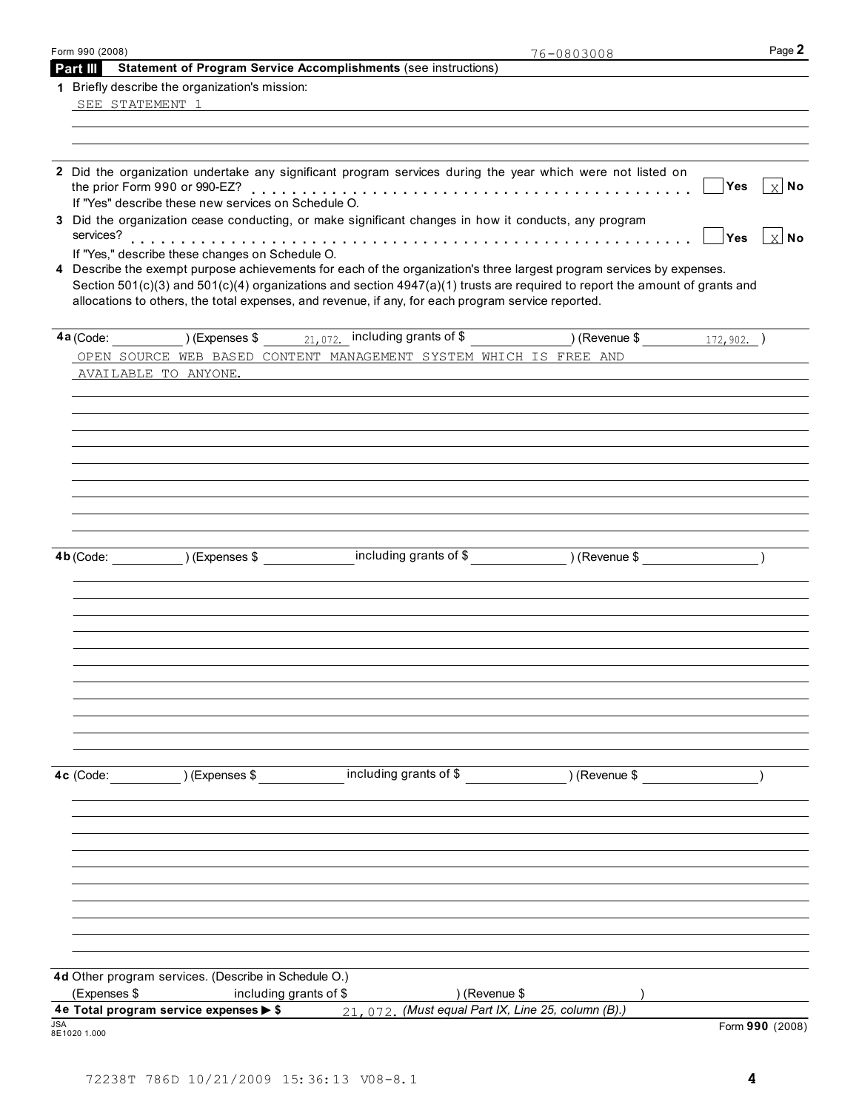| Form 990 (2008) |                                                                  |                                                                                                                                                                                                                                                      | 76-0803008    | Page 2                                  |
|-----------------|------------------------------------------------------------------|------------------------------------------------------------------------------------------------------------------------------------------------------------------------------------------------------------------------------------------------------|---------------|-----------------------------------------|
| Part III        |                                                                  | <b>Statement of Program Service Accomplishments (see instructions)</b>                                                                                                                                                                               |               |                                         |
|                 | 1 Briefly describe the organization's mission:                   |                                                                                                                                                                                                                                                      |               |                                         |
|                 |                                                                  | SEE STATEMENT 1 SEE SANDALISM SEE STATEMENT 1                                                                                                                                                                                                        |               |                                         |
|                 |                                                                  |                                                                                                                                                                                                                                                      |               |                                         |
|                 |                                                                  | 2 Did the organization undertake any significant program services during the year which were not listed on                                                                                                                                           |               | <b>Yes</b><br>$\lfloor x \rfloor$ No    |
|                 | If "Yes" describe these new services on Schedule O.              |                                                                                                                                                                                                                                                      |               |                                         |
|                 |                                                                  | 3 Did the organization cease conducting, or make significant changes in how it conducts, any program                                                                                                                                                 |               | $ \mathsf{Yes}  \mathsf{X} \mathsf{No}$ |
|                 | If "Yes," describe these changes on Schedule O.                  | 4 Describe the exempt purpose achievements for each of the organization's three largest program services by expenses.<br>Section 501(c)(3) and 501(c)(4) organizations and section 4947(a)(1) trusts are required to report the amount of grants and |               |                                         |
|                 |                                                                  | allocations to others, the total expenses, and revenue, if any, for each program service reported.                                                                                                                                                   |               |                                         |
|                 |                                                                  | 4a (Code: 172, 902.) (Expenses \$ 12, 072. including grants of \$ 16, 172, 902.)                                                                                                                                                                     |               |                                         |
|                 |                                                                  | OPEN SOURCE WEB BASED CONTENT MANAGEMENT SYSTEM WHICH IS FREE AND                                                                                                                                                                                    |               |                                         |
|                 | AVAILABLE TO ANYONE.                                             | ,我们也不会有什么。""我们的人,我们也不会有什么?""我们的人,我们也不会有什么?""我们的人,我们也不会有什么?""我们的人,我们也不会有什么?""我们的人                                                                                                                                                                     |               |                                         |
|                 |                                                                  |                                                                                                                                                                                                                                                      |               |                                         |
|                 |                                                                  |                                                                                                                                                                                                                                                      |               |                                         |
|                 |                                                                  |                                                                                                                                                                                                                                                      |               |                                         |
|                 |                                                                  |                                                                                                                                                                                                                                                      |               |                                         |
|                 |                                                                  |                                                                                                                                                                                                                                                      |               |                                         |
|                 |                                                                  |                                                                                                                                                                                                                                                      |               |                                         |
|                 |                                                                  |                                                                                                                                                                                                                                                      |               |                                         |
|                 |                                                                  | 4b (Code: ) (Expenses \$ including grants of \$ ) (Revenue \$ )                                                                                                                                                                                      |               |                                         |
|                 |                                                                  |                                                                                                                                                                                                                                                      |               |                                         |
|                 |                                                                  |                                                                                                                                                                                                                                                      |               |                                         |
|                 |                                                                  |                                                                                                                                                                                                                                                      |               |                                         |
|                 |                                                                  |                                                                                                                                                                                                                                                      |               |                                         |
|                 |                                                                  |                                                                                                                                                                                                                                                      |               |                                         |
|                 |                                                                  |                                                                                                                                                                                                                                                      |               |                                         |
|                 |                                                                  |                                                                                                                                                                                                                                                      |               |                                         |
|                 |                                                                  |                                                                                                                                                                                                                                                      |               |                                         |
|                 |                                                                  |                                                                                                                                                                                                                                                      |               |                                         |
|                 | 4c (Code: ) (Expenses \$                                         | including grants of \$                                                                                                                                                                                                                               | ) (Revenue \$ |                                         |
|                 |                                                                  |                                                                                                                                                                                                                                                      |               |                                         |
|                 |                                                                  |                                                                                                                                                                                                                                                      |               |                                         |
|                 |                                                                  |                                                                                                                                                                                                                                                      |               |                                         |
|                 |                                                                  |                                                                                                                                                                                                                                                      |               |                                         |
|                 |                                                                  |                                                                                                                                                                                                                                                      |               |                                         |
|                 |                                                                  |                                                                                                                                                                                                                                                      |               |                                         |
|                 |                                                                  |                                                                                                                                                                                                                                                      |               |                                         |
|                 |                                                                  |                                                                                                                                                                                                                                                      |               |                                         |
|                 | 4d Other program services. (Describe in Schedule O.)             |                                                                                                                                                                                                                                                      |               |                                         |
| (Expenses \$    | including grants of \$<br>4e Total program service expenses > \$ | ) (Revenue \$<br>21, 072. (Must equal Part IX, Line 25, column (B).)                                                                                                                                                                                 |               |                                         |
| 8E1020 1.000    |                                                                  |                                                                                                                                                                                                                                                      |               | Form 990 (2008)                         |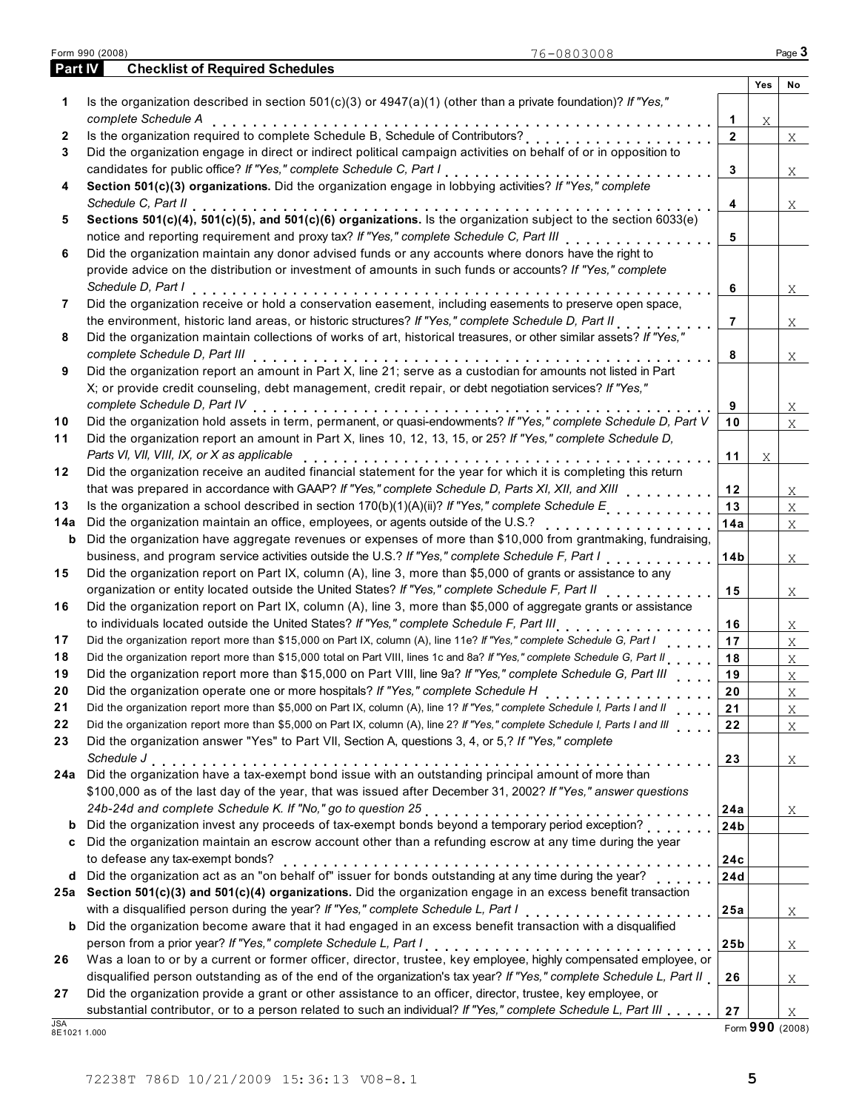|                | Form 990 (2008)<br>76-0803008                                                                                                |                 |     | Page $3$ |
|----------------|------------------------------------------------------------------------------------------------------------------------------|-----------------|-----|----------|
| <b>Part IV</b> | <b>Checklist of Required Schedules</b>                                                                                       |                 |     |          |
| 1              | Is the organization described in section $501(c)(3)$ or $4947(a)(1)$ (other than a private foundation)? If "Yes,"            |                 | Yes | No       |
|                | complete Schedule A                                                                                                          | 1               | Χ   |          |
| 2              | complete Schedule A<br>Is the organization required to complete Schedule B, Schedule of Contributors?                        | $\mathbf{2}$    |     | X        |
| 3              | Did the organization engage in direct or indirect political campaign activities on behalf of or in opposition to             |                 |     |          |
|                | candidates for public office? If "Yes," complete Schedule C, Part I                                                          | 3               |     | X        |
| 4              | Section 501(c)(3) organizations. Did the organization engage in lobbying activities? If "Yes," complete                      |                 |     |          |
|                | Schedule C, Part II                                                                                                          | 4               |     | X        |
| 5              | Sections 501(c)(4), 501(c)(5), and 501(c)(6) organizations. Is the organization subject to the section 6033(e)               |                 |     |          |
|                | notice and reporting requirement and proxy tax? If "Yes," complete Schedule C, Part III                                      | 5               |     |          |
| 6              | Did the organization maintain any donor advised funds or any accounts where donors have the right to                         |                 |     |          |
|                | provide advice on the distribution or investment of amounts in such funds or accounts? If "Yes," complete                    |                 |     |          |
|                | Schedule D, Part I                                                                                                           | 6               |     | X        |
| 7              | Did the organization receive or hold a conservation easement, including easements to preserve open space,                    |                 |     |          |
|                | the environment, historic land areas, or historic structures? If "Yes," complete Schedule D, Part II                         | $\overline{7}$  |     | X        |
| 8              | Did the organization maintain collections of works of art, historical treasures, or other similar assets? If "Yes,"          |                 |     |          |
|                | complete Schedule D, Part III                                                                                                | 8               |     | X        |
| 9              | Did the organization report an amount in Part X, line 21; serve as a custodian for amounts not listed in Part                |                 |     |          |
|                | X; or provide credit counseling, debt management, credit repair, or debt negotiation services? If "Yes,"                     |                 |     |          |
|                | complete Schedule D, Part IV                                                                                                 | 9               |     | X        |
| 10             | Did the organization hold assets in term, permanent, or quasi-endowments? If "Yes," complete Schedule D, Part V              | 10              |     | X        |
| 11             | Did the organization report an amount in Part X, lines 10, 12, 13, 15, or 25? If "Yes," complete Schedule D,                 |                 |     |          |
|                | Parts VI, VII, VIII, IX, or X as applicable                                                                                  | 11              | Χ   |          |
| 12             | Did the organization receive an audited financial statement for the year for which it is completing this return              |                 |     |          |
|                | that was prepared in accordance with GAAP? If "Yes," complete Schedule D, Parts XI, XII, and XIII [11] [11] [1               | 12              |     | X        |
| 13             | Is the organization a school described in section 170(b)(1)(A)(ii)? If "Yes," complete Schedule E                            | 13              |     | $X -$    |
| 14a            | Did the organization maintain an office, employees, or agents outside of the U.S.?                                           | 14a             |     | X        |
| b              | Did the organization have aggregate revenues or expenses of more than \$10,000 from grantmaking, fundraising,                |                 |     |          |
|                |                                                                                                                              | 14b             |     | X        |
| 15             | Did the organization report on Part IX, column (A), line 3, more than \$5,000 of grants or assistance to any                 |                 |     |          |
|                | organization or entity located outside the United States? If "Yes," complete Schedule F, Part II                             | 15              |     | X        |
| 16             | Did the organization report on Part IX, column (A), line 3, more than \$5,000 of aggregate grants or assistance              |                 |     |          |
|                | to individuals located outside the United States? If "Yes," complete Schedule F, Part III                                    | 16              |     | X        |
| 17             | Did the organization report more than \$15,000 on Part IX, column (A), line 11e? If "Yes," complete Schedule G, Part I       | 17              |     | $X -$    |
| 18             | Did the organization report more than \$15,000 total on Part VIII, lines 1c and 8a? If "Yes," complete Schedule G, Part II   | 18              |     | X        |
| 19             | Did the organization report more than \$15,000 on Part VIII, line 9a? If "Yes," complete Schedule G, Part III                | 19              |     | X        |
| 20             | Did the organization operate one or more hospitals? If "Yes," complete Schedule H                                            | 20              |     | X        |
| 21             | Did the organization report more than \$5,000 on Part IX, column (A), line 1? If "Yes," complete Schedule I, Parts I and II  | 21              |     | X        |
| 22             | Did the organization report more than \$5,000 on Part IX, column (A), line 2? If "Yes," complete Schedule I, Parts I and III | 22              |     | X        |
| 23             | Did the organization answer "Yes" to Part VII, Section A, questions 3, 4, or 5,? If "Yes," complete                          |                 |     |          |
|                |                                                                                                                              | 23              |     | X        |
| 24a            | Schedule J<br>Did the organization have a tax-exempt bond issue with an outstanding principal amount of more than            |                 |     |          |
|                | \$100,000 as of the last day of the year, that was issued after December 31, 2002? If "Yes," answer questions                |                 |     |          |
|                |                                                                                                                              | 24a             |     | X        |
| b              | Did the organization invest any proceeds of tax-exempt bonds beyond a temporary period exception?                            | 24 <sub>b</sub> |     |          |
| c              | Did the organization maintain an escrow account other than a refunding escrow at any time during the year                    |                 |     |          |
|                | to defease any tax-exempt bonds?                                                                                             | 24c             |     |          |
| d              | Did the organization act as an "on behalf of" issuer for bonds outstanding at any time during the year?                      | 24d             |     |          |
| 25a            | Section 501(c)(3) and 501(c)(4) organizations. Did the organization engage in an excess benefit transaction                  |                 |     |          |
|                | with a disqualified person during the year? If "Yes," complete Schedule L, Part I                                            | 25a             |     | X        |
| b              | Did the organization become aware that it had engaged in an excess benefit transaction with a disqualified                   |                 |     |          |
|                |                                                                                                                              | 25b             |     | X        |
| 26             | Was a loan to or by a current or former officer, director, trustee, key employee, highly compensated employee, or            |                 |     |          |
|                | disqualified person outstanding as of the end of the organization's tax year? If "Yes," complete Schedule L, Part II         | 26              |     | X        |
| 27             | Did the organization provide a grant or other assistance to an officer, director, trustee, key employee, or                  |                 |     |          |
|                | substantial contributor, or to a person related to such an individual? If "Yes," complete Schedule L, Part III               | 27              |     | Χ        |

JSA<br>8E1021 1.000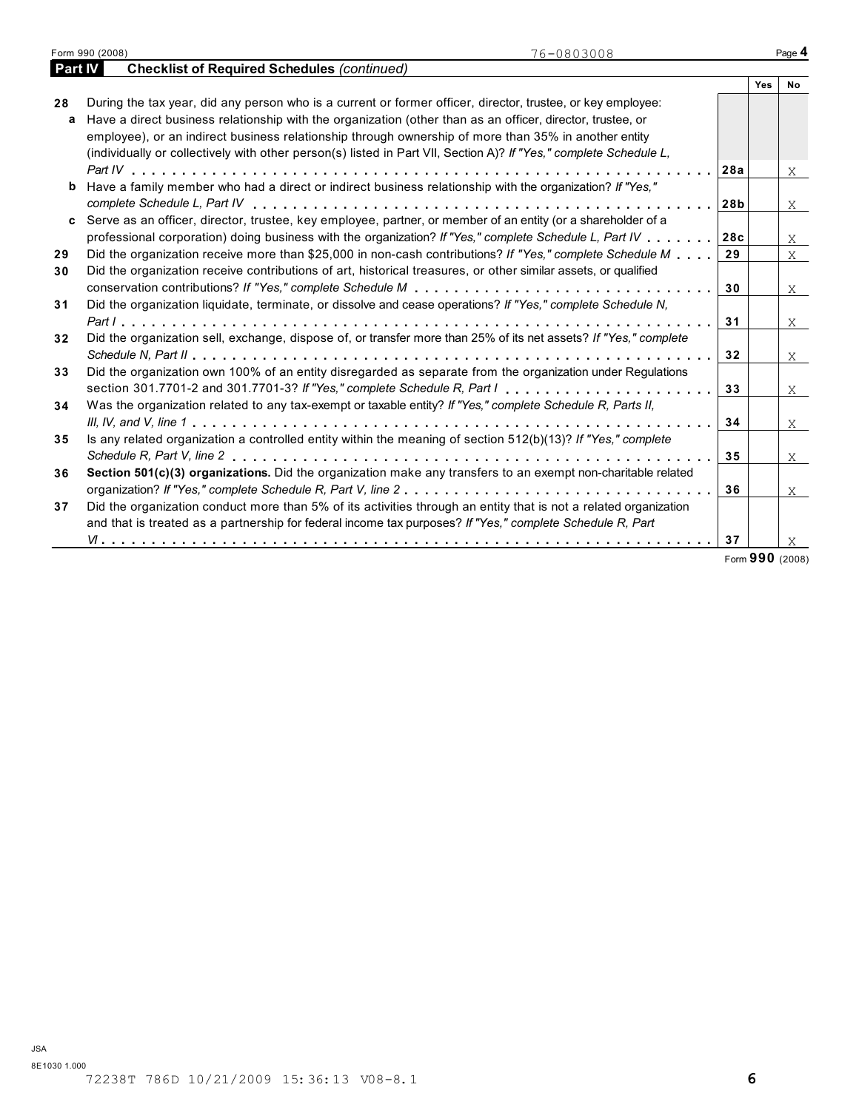|                | Form 990 (2008)<br>76-0803008                                                                                              |     |     | Page 4    |
|----------------|----------------------------------------------------------------------------------------------------------------------------|-----|-----|-----------|
| <b>Part IV</b> | <b>Checklist of Required Schedules (continued)</b>                                                                         |     |     |           |
|                |                                                                                                                            |     | Yes | <b>No</b> |
| 28             | During the tax year, did any person who is a current or former officer, director, trustee, or key employee:                |     |     |           |
| a              | Have a direct business relationship with the organization (other than as an officer, director, trustee, or                 |     |     |           |
|                | employee), or an indirect business relationship through ownership of more than 35% in another entity                       |     |     |           |
|                | (individually or collectively with other person(s) listed in Part VII, Section A)? If "Yes," complete Schedule L,          |     |     |           |
|                |                                                                                                                            | 28a |     | X         |
| b              | Have a family member who had a direct or indirect business relationship with the organization? If "Yes,"                   |     |     |           |
|                |                                                                                                                            | 28b |     | X         |
| C.             | Serve as an officer, director, trustee, key employee, partner, or member of an entity (or a shareholder of a               |     |     |           |
|                | professional corporation) doing business with the organization? If "Yes," complete Schedule L, Part IV                     | 28c |     | X         |
| 29             | Did the organization receive more than \$25,000 in non-cash contributions? If "Yes," complete Schedule M                   | 29  |     | $X -$     |
| 30             | Did the organization receive contributions of art, historical treasures, or other similar assets, or qualified             |     |     |           |
|                |                                                                                                                            | 30  |     | X         |
| 31             | Did the organization liquidate, terminate, or dissolve and cease operations? If "Yes," complete Schedule N,                |     |     |           |
|                |                                                                                                                            | 31  |     | X         |
| 32             | Did the organization sell, exchange, dispose of, or transfer more than 25% of its net assets? If "Yes," complete           |     |     |           |
|                |                                                                                                                            | 32  |     | X         |
| 33             | Did the organization own 100% of an entity disregarded as separate from the organization under Regulations                 |     |     |           |
|                | section 301.7701-2 and 301.7701-3? If "Yes," complete Schedule R, Part $1, \ldots, \ldots, \ldots, \ldots, \ldots, \ldots$ | 33  |     |           |
| 34             | Was the organization related to any tax-exempt or taxable entity? If "Yes," complete Schedule R, Parts II,                 |     |     | X         |
|                |                                                                                                                            | 34  |     |           |
|                | Is any related organization a controlled entity within the meaning of section 512(b)(13)? If "Yes," complete               |     |     | X         |
| 35             |                                                                                                                            |     |     |           |
|                |                                                                                                                            | 35  |     | X         |
| 36             | Section 501(c)(3) organizations. Did the organization make any transfers to an exempt non-charitable related               |     |     |           |
|                |                                                                                                                            | 36  |     | X         |
| 37             | Did the organization conduct more than 5% of its activities through an entity that is not a related organization           |     |     |           |
|                | and that is treated as a partnership for federal income tax purposes? If "Yes," complete Schedule R, Part                  |     |     |           |
|                |                                                                                                                            | 37  |     | X.        |

Form **990** (2008)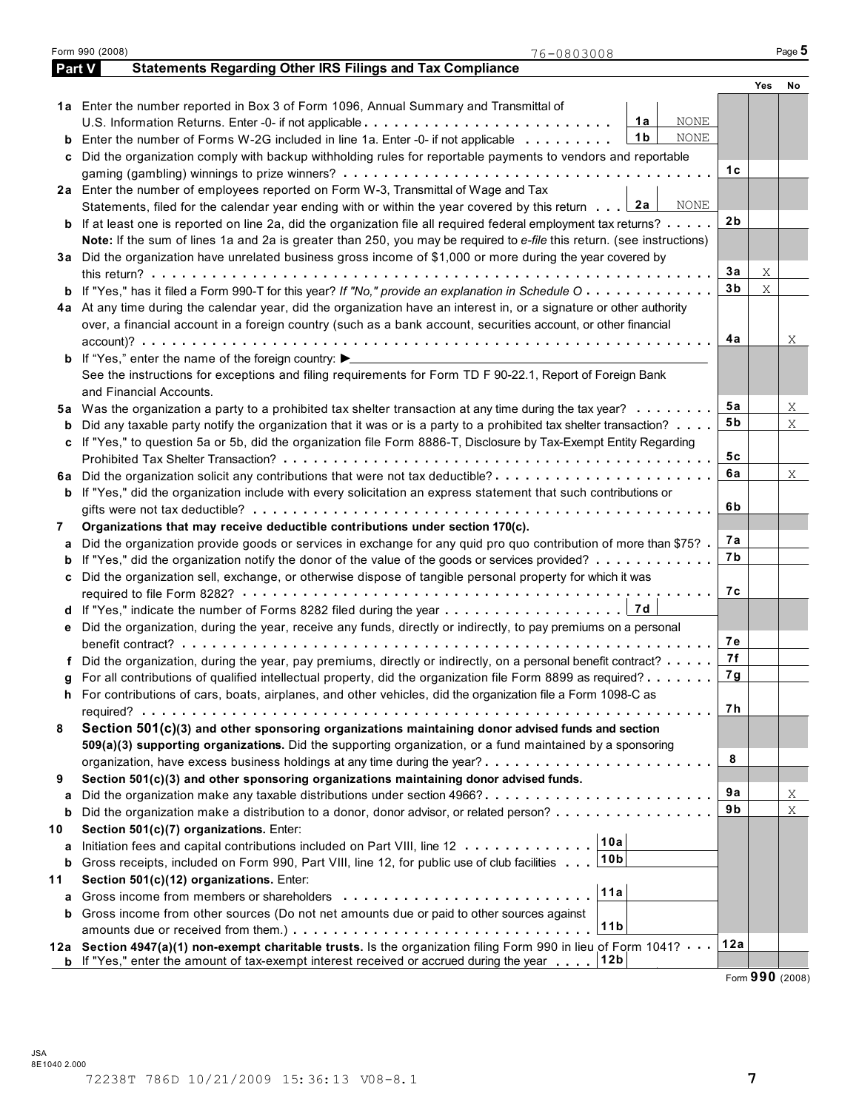|    | Form 990 (2008)<br>76-0803008                                                                                                                                                                                        |                |             | Page 5  |
|----|----------------------------------------------------------------------------------------------------------------------------------------------------------------------------------------------------------------------|----------------|-------------|---------|
|    | <b>Statements Regarding Other IRS Filings and Tax Compliance</b><br>Part V                                                                                                                                           |                |             |         |
|    |                                                                                                                                                                                                                      |                | Yes         | No      |
|    | 1a Enter the number reported in Box 3 of Form 1096, Annual Summary and Transmittal of                                                                                                                                |                |             |         |
|    | <b>NONE</b><br>1a                                                                                                                                                                                                    |                |             |         |
| b  | 1 <sub>b</sub><br><b>NONE</b><br>Enter the number of Forms W-2G included in line 1a. Enter -0- if not applicable                                                                                                     |                |             |         |
| c  | Did the organization comply with backup withholding rules for reportable payments to vendors and reportable                                                                                                          |                |             |         |
|    |                                                                                                                                                                                                                      | 1с             |             |         |
|    | 2a Enter the number of employees reported on Form W-3, Transmittal of Wage and Tax                                                                                                                                   |                |             |         |
|    | Statements, filed for the calendar year ending with or within the year covered by this return $\therefore$ 2a<br>NONE                                                                                                |                |             |         |
|    | <b>b</b> If at least one is reported on line 2a, did the organization file all required federal employment tax returns?                                                                                              | 2 <sub>b</sub> |             |         |
|    | Note: If the sum of lines 1a and 2a is greater than 250, you may be required to e-file this return. (see instructions)                                                                                               |                |             |         |
|    | 3a Did the organization have unrelated business gross income of \$1,000 or more during the year covered by                                                                                                           |                |             |         |
|    | this return? $\ldots$ , $\ldots$ , $\ldots$ , $\ldots$ , $\ldots$ , $\ldots$ , $\ldots$ , $\ldots$ , $\ldots$                                                                                                        | 3a             | X           |         |
|    | <b>b</b> If "Yes," has it filed a Form 990-T for this year? If "No," provide an explanation in Schedule O                                                                                                            | 3 <sub>b</sub> | $\mathbf X$ |         |
|    | 4a At any time during the calendar year, did the organization have an interest in, or a signature or other authority                                                                                                 |                |             |         |
|    | over, a financial account in a foreign country (such as a bank account, securities account, or other financial                                                                                                       |                |             |         |
|    |                                                                                                                                                                                                                      | 4a             |             | Χ       |
|    | <b>b</b> If "Yes," enter the name of the foreign country: $\blacktriangleright$                                                                                                                                      |                |             |         |
|    |                                                                                                                                                                                                                      |                |             |         |
|    | See the instructions for exceptions and filing requirements for Form TD F 90-22.1, Report of Foreign Bank                                                                                                            |                |             |         |
|    | and Financial Accounts.                                                                                                                                                                                              | 5a             |             |         |
|    | 5a Was the organization a party to a prohibited tax shelter transaction at any time during the tax year?                                                                                                             | 5 <sub>b</sub> |             | X<br>X  |
|    | Did any taxable party notify the organization that it was or is a party to a prohibited tax shelter transaction?                                                                                                     |                |             |         |
| c  | If "Yes," to question 5a or 5b, did the organization file Form 8886-T, Disclosure by Tax-Exempt Entity Regarding                                                                                                     |                |             |         |
|    |                                                                                                                                                                                                                      | 5c             |             |         |
|    |                                                                                                                                                                                                                      | 6a             |             | X       |
|    | <b>b</b> If "Yes," did the organization include with every solicitation an express statement that such contributions or                                                                                              |                |             |         |
|    |                                                                                                                                                                                                                      | 6b             |             |         |
| 7  | Organizations that may receive deductible contributions under section 170(c).                                                                                                                                        |                |             |         |
| а  | Did the organization provide goods or services in exchange for any quid pro quo contribution of more than \$75?                                                                                                      | 7а             |             |         |
| b  | If "Yes," did the organization notify the donor of the value of the goods or services provided?                                                                                                                      | 7b             |             |         |
| c  | Did the organization sell, exchange, or otherwise dispose of tangible personal property for which it was                                                                                                             |                |             |         |
|    |                                                                                                                                                                                                                      | 7с             |             |         |
|    |                                                                                                                                                                                                                      |                |             |         |
|    | e Did the organization, during the year, receive any funds, directly or indirectly, to pay premiums on a personal                                                                                                    |                |             |         |
|    | benefit contract? experience in the contract of the set of the set of the set of the set of the set of the set                                                                                                       | 7е             |             |         |
|    | f Did the organization, during the year, pay premiums, directly or indirectly, on a personal benefit contract?                                                                                                       | 7f             |             |         |
|    | For all contributions of qualified intellectual property, did the organization file Form 8899 as required?                                                                                                           | 7g             |             |         |
|    | h For contributions of cars, boats, airplanes, and other vehicles, did the organization file a Form 1098-C as                                                                                                        |                |             |         |
|    |                                                                                                                                                                                                                      | 7 h            |             |         |
| 8  | Section 501(c)(3) and other sponsoring organizations maintaining donor advised funds and section                                                                                                                     |                |             |         |
|    | 509(a)(3) supporting organizations. Did the supporting organization, or a fund maintained by a sponsoring                                                                                                            |                |             |         |
|    |                                                                                                                                                                                                                      | 8              |             |         |
| 9  | Section 501(c)(3) and other sponsoring organizations maintaining donor advised funds.                                                                                                                                |                |             |         |
| а  |                                                                                                                                                                                                                      | 9a             |             | Χ       |
| b  | Did the organization make a distribution to a donor, donor advisor, or related person?                                                                                                                               | 9b             |             | $\rm X$ |
| 10 | Section 501(c)(7) organizations. Enter:                                                                                                                                                                              |                |             |         |
|    | 10a<br>Initiation fees and capital contributions included on Part VIII, line 12                                                                                                                                      |                |             |         |
| а  | 10 <sub>b</sub><br>Gross receipts, included on Form 990, Part VIII, line 12, for public use of club facilities                                                                                                       |                |             |         |
| b  |                                                                                                                                                                                                                      |                |             |         |
| 11 | Section 501(c)(12) organizations. Enter:<br>11a                                                                                                                                                                      |                |             |         |
| a  | Gross income from members or shareholders quantum in the state of the Gross income from members of shareholder                                                                                                       |                |             |         |
| b  | Gross income from other sources (Do not net amounts due or paid to other sources against<br>11 <sub>b</sub>                                                                                                          |                |             |         |
|    |                                                                                                                                                                                                                      |                |             |         |
|    | 12a Section 4947(a)(1) non-exempt charitable trusts. Is the organization filing Form 990 in lieu of Form 1041?<br><b>b</b> If "Yes," enter the amount of tax-exempt interest received or accrued during the year 12b | 12a            |             |         |

Form **990** (2008)

| 90 (2008) |  |
|-----------|--|
|           |  |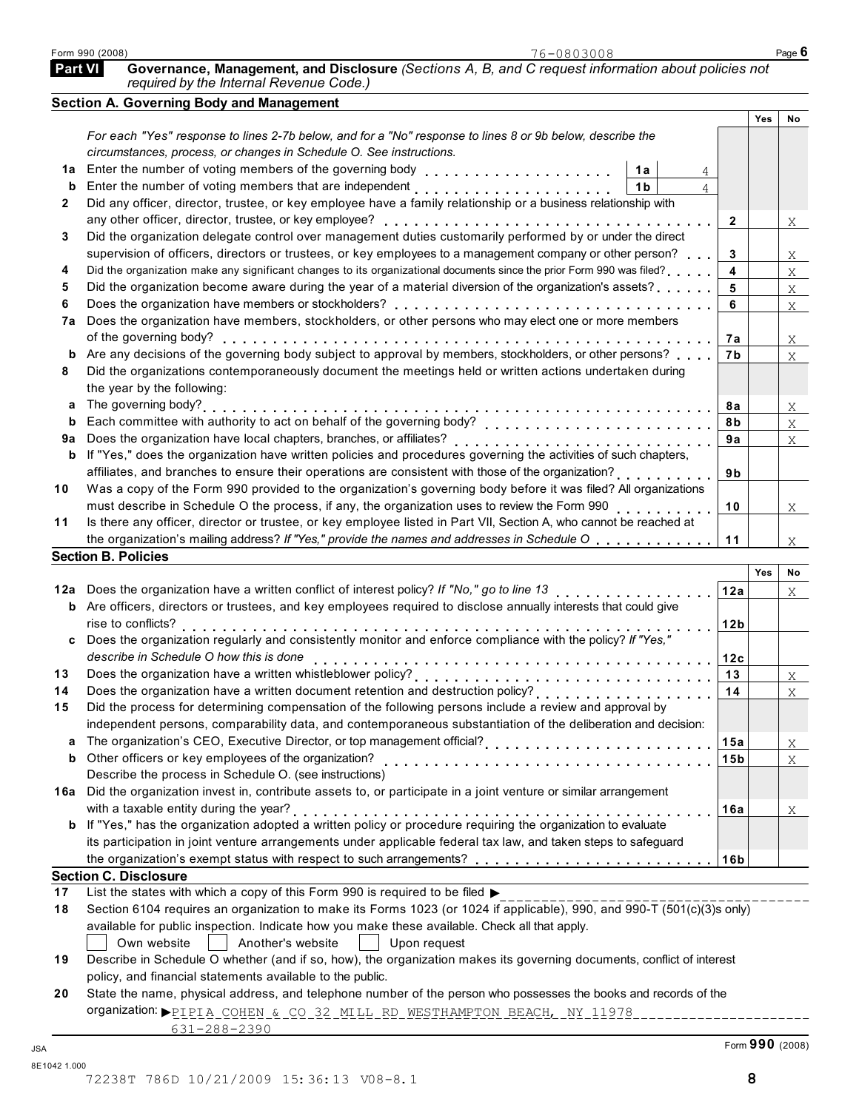| <b>Part VI</b> | Governance, Management, and Disclosure (Sections A, B, and C request information about policies not<br>required by the Internal Revenue Code.)                                                                                   |                  |     |                |
|----------------|----------------------------------------------------------------------------------------------------------------------------------------------------------------------------------------------------------------------------------|------------------|-----|----------------|
|                | <b>Section A. Governing Body and Management</b>                                                                                                                                                                                  |                  |     |                |
|                |                                                                                                                                                                                                                                  |                  | Yes | No             |
|                | For each "Yes" response to lines 2-7b below, and for a "No" response to lines 8 or 9b below, describe the                                                                                                                        |                  |     |                |
|                | circumstances, process, or changes in Schedule O. See instructions.                                                                                                                                                              |                  |     |                |
| 1a             | 1a<br>4                                                                                                                                                                                                                          |                  |     |                |
| b              | Enter the number of voting members that are independent<br>1 <sub>b</sub><br>4                                                                                                                                                   |                  |     |                |
| $\mathbf{2}$   | Did any officer, director, trustee, or key employee have a family relationship or a business relationship with                                                                                                                   |                  |     |                |
|                |                                                                                                                                                                                                                                  | $\boldsymbol{2}$ |     | X              |
| 3              | Did the organization delegate control over management duties customarily performed by or under the direct                                                                                                                        |                  |     |                |
|                | supervision of officers, directors or trustees, or key employees to a management company or other person?                                                                                                                        | 3                |     | $X_{-}$        |
| 4              | Did the organization make any significant changes to its organizational documents since the prior Form 990 was filed?<br>Did the organization become aware during the year of a material diversion of the organization's assets? | 4                |     | $X_{-}$        |
| 5<br>6         |                                                                                                                                                                                                                                  | 5                |     | $X_{-}$        |
|                |                                                                                                                                                                                                                                  | 6                |     | $X -$          |
| 7a             | Does the organization have members, stockholders, or other persons who may elect one or more members                                                                                                                             |                  |     |                |
|                | Are any decisions of the governing body subject to approval by members, stockholders, or other persons?                                                                                                                          | 7а               |     | X              |
| b<br>8         | Did the organizations contemporaneously document the meetings held or written actions undertaken during                                                                                                                          | 7b               |     | X              |
|                | the year by the following:                                                                                                                                                                                                       |                  |     |                |
|                | The governing body?                                                                                                                                                                                                              |                  |     |                |
| а<br>b         | Each committee with authority to act on behalf of the governing body?                                                                                                                                                            | 8a               |     | $X_{-}$        |
| 9а             |                                                                                                                                                                                                                                  | 8b               |     | $X_{-}$        |
| b              | If "Yes," does the organization have written policies and procedures governing the activities of such chapters,                                                                                                                  | 9a               |     | $X -$          |
|                | affiliates, and branches to ensure their operations are consistent with those of the organization?                                                                                                                               | 9b               |     |                |
| 10             | Was a copy of the Form 990 provided to the organization's governing body before it was filed? All organizations                                                                                                                  |                  |     |                |
|                | must describe in Schedule O the process, if any, the organization uses to review the Form 990                                                                                                                                    | 10               |     |                |
| 11             | Is there any officer, director or trustee, or key employee listed in Part VII, Section A, who cannot be reached at                                                                                                               |                  |     | X              |
|                | the organization's mailing address? If "Yes," provide the names and addresses in Schedule O                                                                                                                                      | 11               |     |                |
|                | <b>Section B. Policies</b>                                                                                                                                                                                                       |                  |     | X              |
|                |                                                                                                                                                                                                                                  |                  | Yes | No             |
| 12a            | Does the organization have a written conflict of interest policy? If "No," go to line 13                                                                                                                                         | 12a              |     | X              |
|                | <b>b</b> Are officers, directors or trustees, and key employees required to disclose annually interests that could give                                                                                                          |                  |     |                |
|                | rise to conflicts?                                                                                                                                                                                                               | 12 <sub>b</sub>  |     |                |
| c              | Does the organization regularly and consistently monitor and enforce compliance with the policy? If "Yes,"                                                                                                                       |                  |     |                |
|                | describe in Schedule O how this is done                                                                                                                                                                                          | 12c              |     |                |
| 13             |                                                                                                                                                                                                                                  | 13               |     | X              |
| 14             | Does the organization have a written document retention and destruction policy?                                                                                                                                                  | 14               |     | $\overline{X}$ |
| 15             | Did the process for determining compensation of the following persons include a review and approval by                                                                                                                           |                  |     |                |
|                | independent persons, comparability data, and contemporaneous substantiation of the deliberation and decision:                                                                                                                    |                  |     |                |
| а              | The organization's CEO, Executive Director, or top management official?<br>1                                                                                                                                                     | 15a              |     | X              |
| b              | Other officers or key employees of the organization?                                                                                                                                                                             | 15 <sub>b</sub>  |     | X              |
|                | Describe the process in Schedule O. (see instructions)                                                                                                                                                                           |                  |     |                |
| 16a            | Did the organization invest in, contribute assets to, or participate in a joint venture or similar arrangement                                                                                                                   |                  |     |                |
|                | with a taxable entity during the year?                                                                                                                                                                                           | 16a              |     | Χ              |
|                | <b>b</b> If "Yes," has the organization adopted a written policy or procedure requiring the organization to evaluate                                                                                                             |                  |     |                |
|                | its participation in joint venture arrangements under applicable federal tax law, and taken steps to safeguard                                                                                                                   |                  |     |                |
|                | the organization's exempt status with respect to such arrangements?                                                                                                                                                              | 16b              |     |                |
|                | <b>Section C. Disclosure</b>                                                                                                                                                                                                     |                  |     |                |
| 17             | List the states with which a copy of this Form 990 is required to be filed $\blacktriangleright$                                                                                                                                 |                  |     |                |
| 18             | Section 6104 requires an organization to make its Forms 1023 (or 1024 if applicable), 990, and 990-T (501(c)(3)s only)                                                                                                           |                  |     |                |
|                | available for public inspection. Indicate how you make these available. Check all that apply.                                                                                                                                    |                  |     |                |
|                | Own website<br>Another's website<br>Upon request                                                                                                                                                                                 |                  |     |                |
| 19             | Describe in Schedule O whether (and if so, how), the organization makes its governing documents, conflict of interest                                                                                                            |                  |     |                |
|                | policy, and financial statements available to the public.                                                                                                                                                                        |                  |     |                |
| 20             | State the name, physical address, and telephone number of the person who possesses the books and records of the                                                                                                                  |                  |     |                |

State tne name, pnysical address, and telepnone number of tne person wno possesses tne books and re<br>organization: ▶P॒I\_P॒I\_A\_COHEN\_&\_CO\_32\_MI\_LL\_RD\_MESTHAMPTON\_BEACH, \_NY\_11978\_\_\_\_ Form **990** (2008) JSA 631-288-2390

8E1042 1.000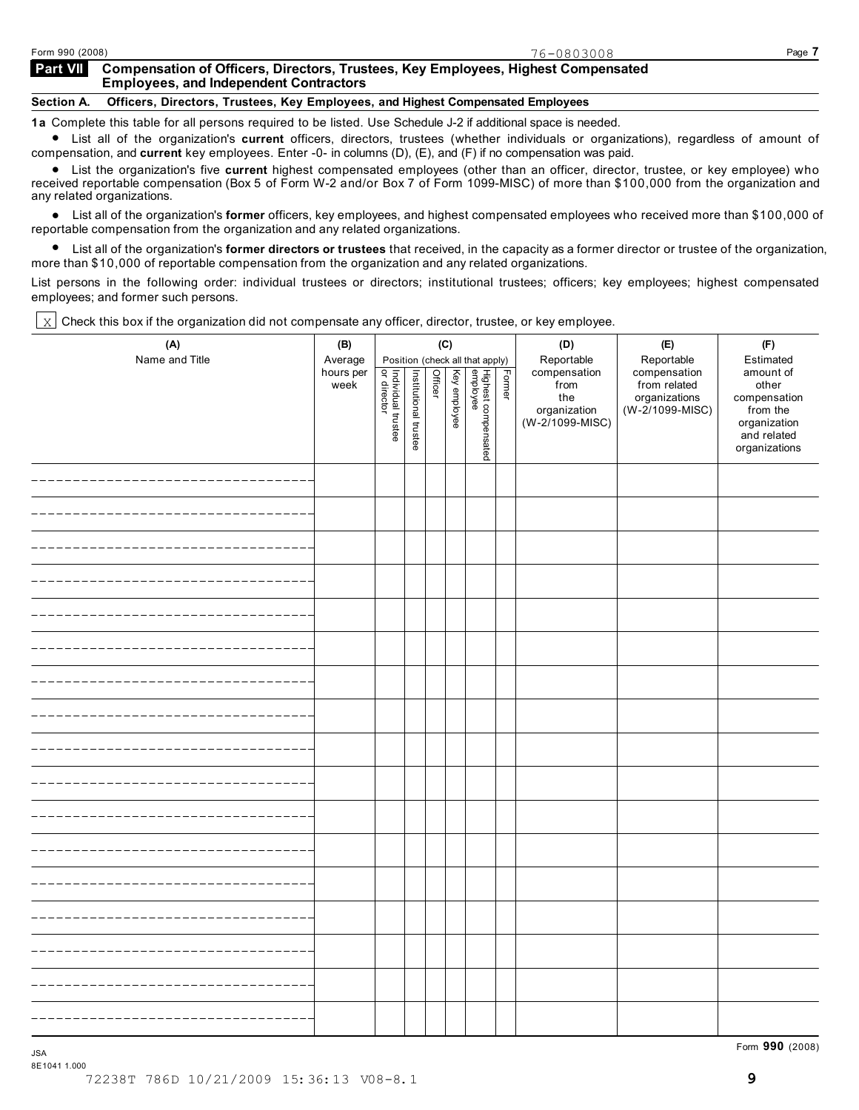#### **Compensation of Officers, Directors, Trustees, Key Employees, Highest Compensated Employees, and Independent Contractors Part VII**

### **Section A. Officers, Directors, Trustees, Key Employees, and Highest Compensated Employees**

1a Complete this table for all persons required to be listed. Use Schedule J-2 if additional space is needed.<br>● List all of the organization's current officers, directors, trustees (whether individuals or organizations),

 compensation, and **current** key employees. Enter -0- in columns (D), (E), and (F) if no compensation was paid. List the organization's five **current** highest compensated employees (other than an officer, director, trustee, or key employee) who received reportable compensation (Box 5 of Form W-2 and/or Box 7 of Form 1099-MISC) of more than \$100,000 from the organization and any related organizations.

reiated organizations.<br>● List all of the organization's **former** officers, key employees, and highest compensated employees who received more than \$100,000 of

reportable compensation from the organization and any related organizations.<br>List all of the organization's former directors or trustees that received, ir List all of the organization's **former directors or trustees** that received, in the capacity as a former director or trustee of the organization, more than \$10,000 of reportable compensation from the organization and any related organizations.

List persons in the following order: individual trustees or directors; institutional trustees; officers; key employees; highest compensated employees; and former such persons.

Check this box if the organization did not compensate any officer, director, trustee, or key employee.  $\mathbf{x}$ 

| (A)            | (B)                          |                                           |                       | (C)            |              |                                 |        | (D)                                       | (E)                                                         | (F)                                                      |
|----------------|------------------------------|-------------------------------------------|-----------------------|----------------|--------------|---------------------------------|--------|-------------------------------------------|-------------------------------------------------------------|----------------------------------------------------------|
| Name and Title | Average<br>hours per<br>week |                                           |                       | <b>Officer</b> |              | Position (check all that apply) | Former | Reportable<br>compensation<br>from<br>the | Reportable<br>compensation<br>from related<br>organizations | Estimated<br>amount of<br>other<br>compensation          |
|                |                              | <br>  Individual trustee<br>  or director | Institutional trustee |                | Key employee | Highest compensated<br>employee |        | organization<br>(W-2/1099-MISC)           | (W-2/1099-MISC)                                             | from the<br>organization<br>and related<br>organizations |
|                |                              |                                           |                       |                |              |                                 |        |                                           |                                                             |                                                          |
|                |                              |                                           |                       |                |              |                                 |        |                                           |                                                             |                                                          |
|                |                              |                                           |                       |                |              |                                 |        |                                           |                                                             |                                                          |
|                |                              |                                           |                       |                |              |                                 |        |                                           |                                                             |                                                          |
|                |                              |                                           |                       |                |              |                                 |        |                                           |                                                             |                                                          |
|                |                              |                                           |                       |                |              |                                 |        |                                           |                                                             |                                                          |
|                |                              |                                           |                       |                |              |                                 |        |                                           |                                                             |                                                          |
|                |                              |                                           |                       |                |              |                                 |        |                                           |                                                             |                                                          |
|                |                              |                                           |                       |                |              |                                 |        |                                           |                                                             |                                                          |
|                |                              |                                           |                       |                |              |                                 |        |                                           |                                                             |                                                          |
|                |                              |                                           |                       |                |              |                                 |        |                                           |                                                             |                                                          |
|                |                              |                                           |                       |                |              |                                 |        |                                           |                                                             |                                                          |
|                |                              |                                           |                       |                |              |                                 |        |                                           |                                                             |                                                          |
|                |                              |                                           |                       |                |              |                                 |        |                                           |                                                             |                                                          |
|                |                              |                                           |                       |                |              |                                 |        |                                           |                                                             |                                                          |
|                |                              |                                           |                       |                |              |                                 |        |                                           |                                                             |                                                          |
|                |                              |                                           |                       |                |              |                                 |        |                                           |                                                             |                                                          |

Form **990** (2008) JSA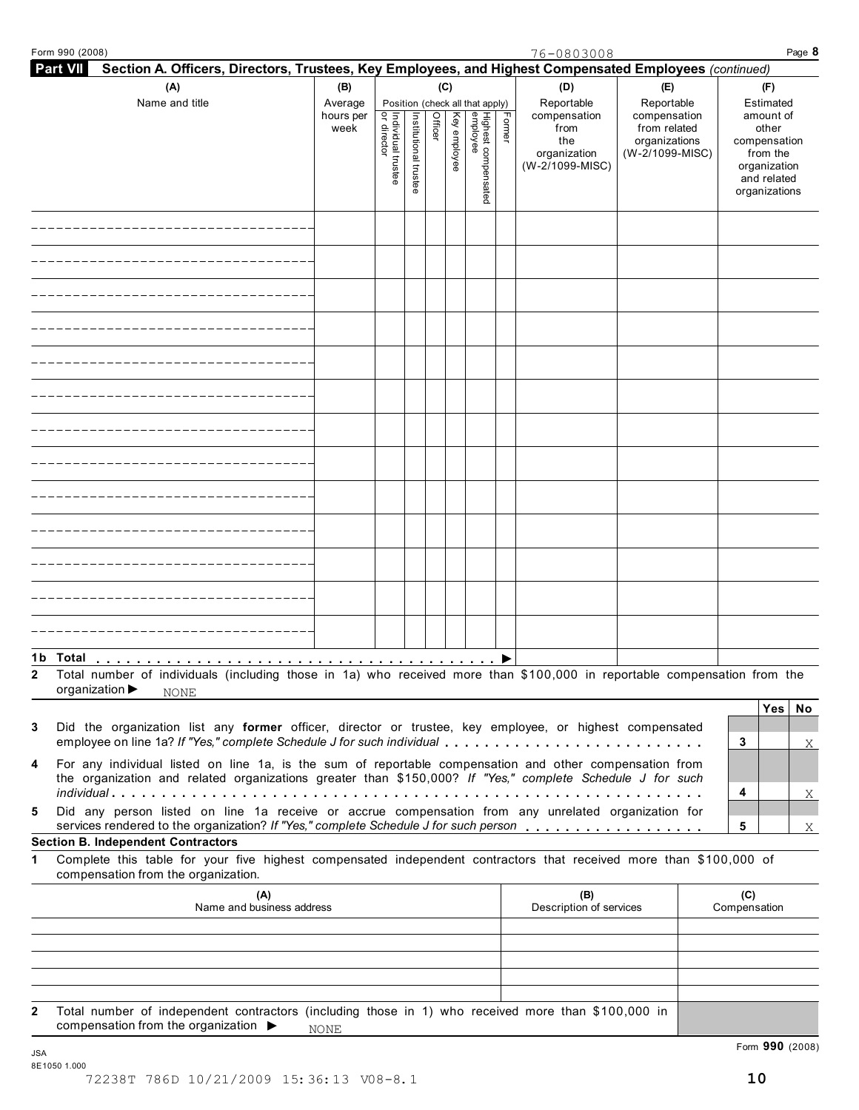| Form 990 (2008)                                                                                                                                                                                                      |                   |                                   |                       |         |              |                                 |        | 76-0803008                                                     |                                                                  | Page 8                                                                                         |
|----------------------------------------------------------------------------------------------------------------------------------------------------------------------------------------------------------------------|-------------------|-----------------------------------|-----------------------|---------|--------------|---------------------------------|--------|----------------------------------------------------------------|------------------------------------------------------------------|------------------------------------------------------------------------------------------------|
| <b>Part VII</b><br>Section A. Officers, Directors, Trustees, Key Employees, and Highest Compensated Employees (continued)                                                                                            |                   |                                   |                       |         |              |                                 |        |                                                                |                                                                  |                                                                                                |
| (A)<br>Name and title                                                                                                                                                                                                | (B)<br>Average    |                                   |                       | (C)     |              | Position (check all that apply) |        | (D)<br>Reportable                                              | (E)<br>Reportable                                                | (F)<br>Estimated                                                                               |
|                                                                                                                                                                                                                      | hours per<br>week | Individual truste<br> or director | Institutional trustee | Officer | Key employee | Highest compensated<br>employee | Former | compensation<br>from<br>the<br>organization<br>(W-2/1099-MISC) | compensation<br>from related<br>organizations<br>(W-2/1099-MISC) | amount of<br>other<br>compensation<br>from the<br>organization<br>and related<br>organizations |
|                                                                                                                                                                                                                      |                   |                                   |                       |         |              |                                 |        |                                                                |                                                                  |                                                                                                |
|                                                                                                                                                                                                                      |                   |                                   |                       |         |              |                                 |        |                                                                |                                                                  |                                                                                                |
|                                                                                                                                                                                                                      |                   |                                   |                       |         |              |                                 |        |                                                                |                                                                  |                                                                                                |
|                                                                                                                                                                                                                      |                   |                                   |                       |         |              |                                 |        |                                                                |                                                                  |                                                                                                |
|                                                                                                                                                                                                                      |                   |                                   |                       |         |              |                                 |        |                                                                |                                                                  |                                                                                                |
|                                                                                                                                                                                                                      |                   |                                   |                       |         |              |                                 |        |                                                                |                                                                  |                                                                                                |
|                                                                                                                                                                                                                      |                   |                                   |                       |         |              |                                 |        |                                                                |                                                                  |                                                                                                |
|                                                                                                                                                                                                                      |                   |                                   |                       |         |              |                                 |        |                                                                |                                                                  |                                                                                                |
|                                                                                                                                                                                                                      |                   |                                   |                       |         |              |                                 |        |                                                                |                                                                  |                                                                                                |
|                                                                                                                                                                                                                      |                   |                                   |                       |         |              |                                 |        |                                                                |                                                                  |                                                                                                |
|                                                                                                                                                                                                                      |                   |                                   |                       |         |              |                                 |        |                                                                |                                                                  |                                                                                                |
|                                                                                                                                                                                                                      |                   |                                   |                       |         |              |                                 |        |                                                                |                                                                  |                                                                                                |
|                                                                                                                                                                                                                      |                   |                                   |                       |         |              |                                 |        |                                                                |                                                                  |                                                                                                |
| 1b Total<br>Total number of individuals (including those in 1a) who received more than \$100,000 in reportable compensation from the<br>organization ▶<br><b>NONE</b>                                                |                   |                                   |                       |         |              |                                 |        |                                                                |                                                                  | Yes<br>No                                                                                      |
| Did the organization list any former officer, director or trustee, key employee, or highest compensated<br>employee on line 1a? If "Yes," complete Schedule J for such individual                                    |                   |                                   |                       |         |              |                                 |        |                                                                |                                                                  | 3<br>Χ                                                                                         |
| For any individual listed on line 1a, is the sum of reportable compensation and other compensation from<br>the organization and related organizations greater than \$150,000? If "Yes," complete Schedule J for such |                   |                                   |                       |         |              |                                 |        |                                                                |                                                                  | 4<br>$\mathbf X$                                                                               |
| Did any person listed on line 1a receive or accrue compensation from any unrelated organization for                                                                                                                  |                   |                                   |                       |         |              |                                 |        |                                                                |                                                                  | 5<br>X                                                                                         |
| <b>Section B. Independent Contractors</b><br>Complete this table for your five highest compensated independent contractors that received more than \$100,000 of<br>compensation from the organization.               |                   |                                   |                       |         |              |                                 |        |                                                                |                                                                  |                                                                                                |
| (A)<br>Name and business address                                                                                                                                                                                     |                   |                                   |                       |         |              |                                 |        | (B)<br>Description of services                                 |                                                                  | (C)<br>Compensation                                                                            |
|                                                                                                                                                                                                                      |                   |                                   |                       |         |              |                                 |        |                                                                |                                                                  |                                                                                                |
|                                                                                                                                                                                                                      |                   |                                   |                       |         |              |                                 |        |                                                                |                                                                  |                                                                                                |
|                                                                                                                                                                                                                      |                   |                                   |                       |         |              |                                 |        |                                                                |                                                                  |                                                                                                |
| Total number of independent contractors (including those in 1) who received more than \$100,000 in                                                                                                                   |                   |                                   |                       |         |              |                                 |        |                                                                |                                                                  |                                                                                                |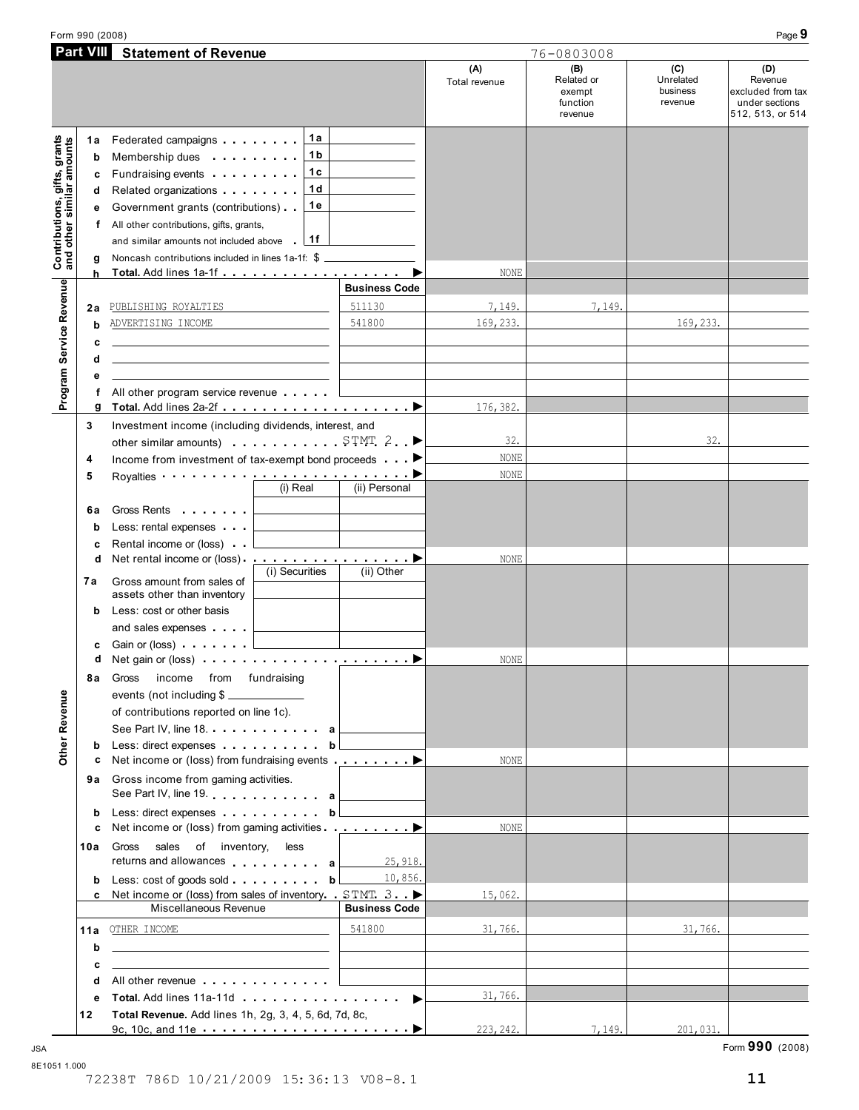Form 990 (2008) Page **9**

|                                                        | <b>Part VIII</b> Statement of Revenue                                                                                |                                                                            | 76-0803008                                                                                                                                                                                                                     |                      |                                                    |                                         |                                                                           |
|--------------------------------------------------------|----------------------------------------------------------------------------------------------------------------------|----------------------------------------------------------------------------|--------------------------------------------------------------------------------------------------------------------------------------------------------------------------------------------------------------------------------|----------------------|----------------------------------------------------|-----------------------------------------|---------------------------------------------------------------------------|
|                                                        |                                                                                                                      |                                                                            |                                                                                                                                                                                                                                | (A)<br>Total revenue | (B)<br>Related or<br>exempt<br>function<br>revenue | (C)<br>Unrelated<br>business<br>revenue | (D)<br>Revenue<br>excluded from tax<br>under sections<br>512, 513, or 514 |
| 1а                                                     | Federated campaigns <b>Federated</b>                                                                                 | 1a                                                                         |                                                                                                                                                                                                                                |                      |                                                    |                                         |                                                                           |
| b                                                      | Membership dues <b>All Accords</b> Membership dues                                                                   | 1 b                                                                        |                                                                                                                                                                                                                                |                      |                                                    |                                         |                                                                           |
| с                                                      | Fundraising events <b>Fundraising</b>                                                                                | 1с                                                                         |                                                                                                                                                                                                                                |                      |                                                    |                                         |                                                                           |
| d                                                      |                                                                                                                      | 1 d                                                                        |                                                                                                                                                                                                                                |                      |                                                    |                                         |                                                                           |
| е                                                      | Government grants (contributions)                                                                                    | 1е                                                                         |                                                                                                                                                                                                                                |                      |                                                    |                                         |                                                                           |
| f                                                      |                                                                                                                      |                                                                            |                                                                                                                                                                                                                                |                      |                                                    |                                         |                                                                           |
|                                                        | All other contributions, gifts, grants,<br>and similar amounts not included above 1f                                 |                                                                            |                                                                                                                                                                                                                                |                      |                                                    |                                         |                                                                           |
|                                                        |                                                                                                                      |                                                                            |                                                                                                                                                                                                                                |                      |                                                    |                                         |                                                                           |
| g                                                      | Noncash contributions included in lines 1a-1f: \$                                                                    |                                                                            | ▶                                                                                                                                                                                                                              |                      |                                                    |                                         |                                                                           |
| h                                                      |                                                                                                                      |                                                                            | <b>Business Code</b>                                                                                                                                                                                                           | NONE                 |                                                    |                                         |                                                                           |
|                                                        |                                                                                                                      |                                                                            |                                                                                                                                                                                                                                |                      |                                                    |                                         |                                                                           |
| 2a                                                     | PUBLISHING ROYALTIES                                                                                                 |                                                                            | 511130                                                                                                                                                                                                                         | 7,149.               | 7,149.                                             |                                         |                                                                           |
| b                                                      | ADVERTISING INCOME                                                                                                   |                                                                            | 541800                                                                                                                                                                                                                         | 169, 233.            |                                                    | 169, 233.                               |                                                                           |
| c                                                      | <u> 1989 - Johann Stein, mars an deus an deus Amerikaanse komme</u>                                                  |                                                                            |                                                                                                                                                                                                                                |                      |                                                    |                                         |                                                                           |
| d                                                      |                                                                                                                      |                                                                            |                                                                                                                                                                                                                                |                      |                                                    |                                         |                                                                           |
| Program Service Revenue and other similar amounts<br>е |                                                                                                                      |                                                                            |                                                                                                                                                                                                                                |                      |                                                    |                                         |                                                                           |
| f                                                      | All other program service revenue   ___________                                                                      |                                                                            |                                                                                                                                                                                                                                |                      |                                                    |                                         |                                                                           |
| g                                                      |                                                                                                                      |                                                                            |                                                                                                                                                                                                                                | 176,382.             |                                                    |                                         |                                                                           |
| 3                                                      | Investment income (including dividends, interest, and                                                                |                                                                            |                                                                                                                                                                                                                                |                      |                                                    |                                         |                                                                           |
|                                                        | other similar amounts) $\ldots$ STMT 2. $\blacktriangleright$                                                        |                                                                            |                                                                                                                                                                                                                                | 32.                  |                                                    | 32.                                     |                                                                           |
| 4                                                      | Income from investment of tax-exempt bond proceeds <b>Department</b>                                                 |                                                                            |                                                                                                                                                                                                                                | NONE                 |                                                    |                                         |                                                                           |
| 5                                                      | Royalties $\qquad \qquad \blacksquare$                                                                               |                                                                            |                                                                                                                                                                                                                                | NONE                 |                                                    |                                         |                                                                           |
|                                                        |                                                                                                                      | $(i)$ Real                                                                 | (ii) Personal                                                                                                                                                                                                                  |                      |                                                    |                                         |                                                                           |
|                                                        |                                                                                                                      |                                                                            |                                                                                                                                                                                                                                |                      |                                                    |                                         |                                                                           |
| 6a                                                     |                                                                                                                      | and the control of the control of                                          |                                                                                                                                                                                                                                |                      |                                                    |                                         |                                                                           |
| b                                                      | Less: rental expenses                                                                                                |                                                                            |                                                                                                                                                                                                                                |                      |                                                    |                                         |                                                                           |
| с                                                      | Rental income or (loss)                                                                                              |                                                                            |                                                                                                                                                                                                                                |                      |                                                    |                                         |                                                                           |
| d                                                      |                                                                                                                      | (i) Securities                                                             | (ii) Other                                                                                                                                                                                                                     | NONE                 |                                                    |                                         |                                                                           |
| 7a                                                     | Gross amount from sales of                                                                                           |                                                                            |                                                                                                                                                                                                                                |                      |                                                    |                                         |                                                                           |
|                                                        | assets other than inventory                                                                                          |                                                                            |                                                                                                                                                                                                                                |                      |                                                    |                                         |                                                                           |
| b                                                      | Less: cost or other basis                                                                                            |                                                                            |                                                                                                                                                                                                                                |                      |                                                    |                                         |                                                                           |
|                                                        | and sales expenses                                                                                                   |                                                                            |                                                                                                                                                                                                                                |                      |                                                    |                                         |                                                                           |
| с                                                      | Gain or (loss) $\ldots$ $\ldots$ $\ldots$                                                                            |                                                                            |                                                                                                                                                                                                                                |                      |                                                    |                                         |                                                                           |
| d                                                      | Net gain or (loss) $\cdots$ $\cdots$ $\cdots$ $\cdots$ $\cdots$ $\cdots$                                             |                                                                            |                                                                                                                                                                                                                                | NONE                 |                                                    |                                         |                                                                           |
| 8а                                                     | from fundraising<br>Gross<br>income                                                                                  |                                                                            |                                                                                                                                                                                                                                |                      |                                                    |                                         |                                                                           |
|                                                        | events (not including \$                                                                                             |                                                                            |                                                                                                                                                                                                                                |                      |                                                    |                                         |                                                                           |
|                                                        | of contributions reported on line 1c).                                                                               |                                                                            |                                                                                                                                                                                                                                |                      |                                                    |                                         |                                                                           |
|                                                        | See Part IV, line 18. a                                                                                              |                                                                            |                                                                                                                                                                                                                                |                      |                                                    |                                         |                                                                           |
| b                                                      | Less: direct expenses                                                                                                |                                                                            | b <sub>l</sub>                                                                                                                                                                                                                 |                      |                                                    |                                         |                                                                           |
| c                                                      | Net income or (loss) from fundraising events ▶                                                                       |                                                                            |                                                                                                                                                                                                                                | NONE                 |                                                    |                                         |                                                                           |
|                                                        | 9a Gross income from gaming activities.                                                                              |                                                                            |                                                                                                                                                                                                                                |                      |                                                    |                                         |                                                                           |
|                                                        | See Part IV, line 19. All a a                                                                                        |                                                                            |                                                                                                                                                                                                                                |                      |                                                    |                                         |                                                                           |
|                                                        | Less: direct expenses                                                                                                |                                                                            | b <sub>l</sub>                                                                                                                                                                                                                 |                      |                                                    |                                         |                                                                           |
| b                                                      |                                                                                                                      |                                                                            |                                                                                                                                                                                                                                | <b>NONE</b>          |                                                    |                                         |                                                                           |
| c                                                      |                                                                                                                      |                                                                            |                                                                                                                                                                                                                                |                      |                                                    |                                         |                                                                           |
| 10a                                                    | Gross sales of inventory, less                                                                                       |                                                                            |                                                                                                                                                                                                                                |                      |                                                    |                                         |                                                                           |
|                                                        | returns and allowances a                                                                                             |                                                                            | 25,918.                                                                                                                                                                                                                        |                      |                                                    |                                         |                                                                           |
| b                                                      | Less: cost of goods sold b                                                                                           |                                                                            | 10,856.                                                                                                                                                                                                                        |                      |                                                    |                                         |                                                                           |
|                                                        | c Net income or (loss) from sales of inventory $STMT$ 3.                                                             |                                                                            |                                                                                                                                                                                                                                | 15,062.              |                                                    |                                         |                                                                           |
|                                                        | Miscellaneous Revenue                                                                                                |                                                                            | <b>Business Code</b>                                                                                                                                                                                                           |                      |                                                    |                                         |                                                                           |
| 11a                                                    | OTHER INCOME                                                                                                         | the control of the control of the control of the control of the control of | 541800                                                                                                                                                                                                                         | 31,766.              |                                                    | 31,766.                                 |                                                                           |
| b                                                      | <u> 1989 - Johann Stein, mars an deutscher Stein und der Stein und der Stein und der Stein und der Stein und der</u> |                                                                            |                                                                                                                                                                                                                                |                      |                                                    |                                         |                                                                           |
| c                                                      | the contract of the contract of the contract of the                                                                  |                                                                            |                                                                                                                                                                                                                                |                      |                                                    |                                         |                                                                           |
| d                                                      | All other revenue entitled and a series of the series of the series of the series of the series of the series        |                                                                            |                                                                                                                                                                                                                                |                      |                                                    |                                         |                                                                           |
|                                                        |                                                                                                                      |                                                                            | Total. Add lines 11a-11d example and the set of the set of the set of the set of the set of the set of the set of the set of the set of the set of the set of the set of the set of the set of the set of the set of the set o | 31,766.              |                                                    |                                         |                                                                           |
|                                                        |                                                                                                                      |                                                                            |                                                                                                                                                                                                                                |                      |                                                    |                                         |                                                                           |
| е<br>12                                                | Total Revenue. Add lines 1h, 2g, 3, 4, 5, 6d, 7d, 8c,                                                                |                                                                            |                                                                                                                                                                                                                                |                      |                                                    |                                         |                                                                           |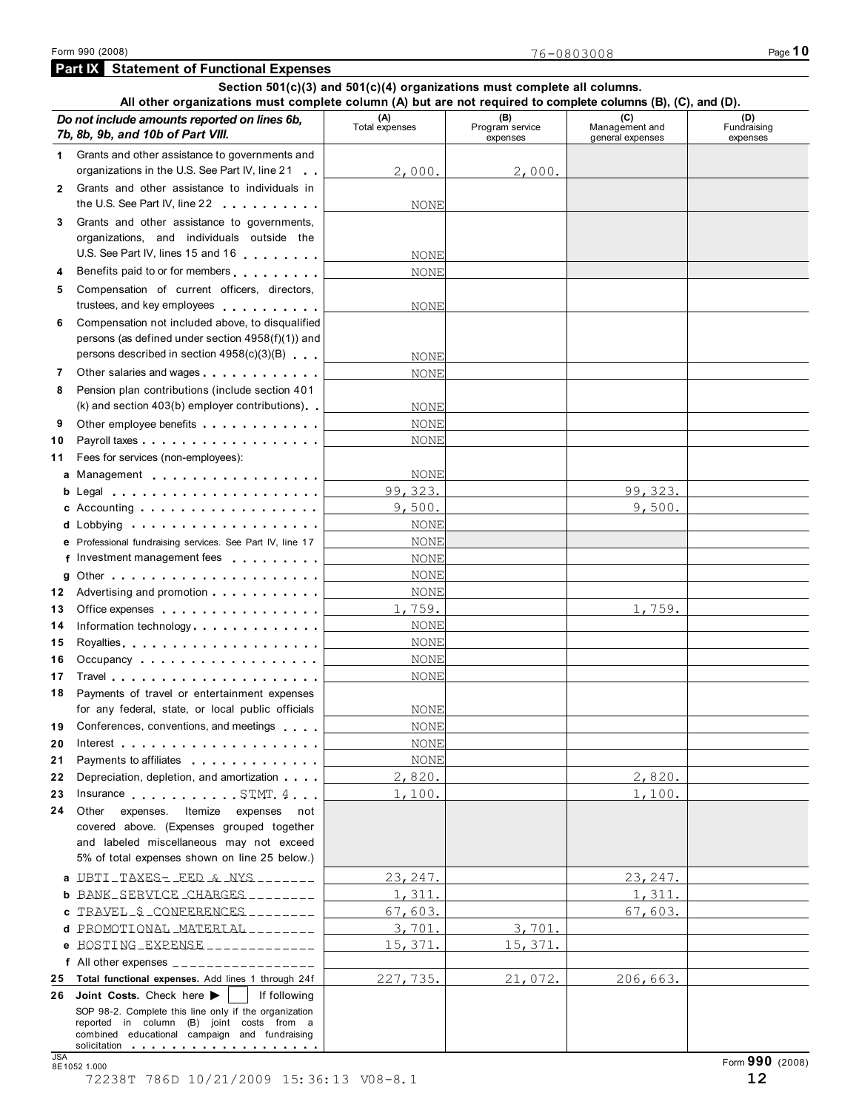**Part IX Statement of Functional Expenses**

#### **Section 501(c)(3) and 501(c)(4) organizations must complete all columns. All other organizations must complete column (A) but are not required to complete columns (B), (C), and (D).** *Do not include amounts reported on lines 6b,* $\qquad \qquad$  **(A)**  $\qquad \qquad$  **(B)**  $\qquad \qquad$  **(B) (C) Management (B) and ademical contract**  $\qquad \qquad$  **Management (C)** *7b, 8b, 9b, and 10b of Part VIII.* expenses Management and general expenses (D)<br>Fundraising expenses 1 Grants and other assistance to governments and<br>
organizations in the U.S. See Part IV, line 21 organizations in the U.S. See Part IV, line 21 Grants and other assistance to individuals in 2 Grants and other assistance to individuals in<br>the U.S. See Part IV, line 22 **3** Grants and other assistance to governments, organizations, and individuals outside the U.S. See Part IV, lines 15 and 16 **<sup>4</sup>** Benefits paid to or for members **5** Compensation of current officers, directors, trustees, and key employees **6** Compensation not included above, to disqualified persons (as defined under section 4958(f)(1)) and persons described in section 4958(c)(3)(B) **PEREASE ASSESSED BEST OF SERVICE 2015 AND THE SAMPLE 7** Other salaries and wages **8** Pension plan contributions (include section 401 Pension plan contributions (include section 401<br>(k) and section 403(b) employer contributions) **9** Other employee benefits **contain the set of the container of the Planets Point Planets Planets Planets Planets Planets Planets Planets Planets Planets Planets Planets Planets Planets Planets Planets Planets Planets Pla** Payroll taxes Fees for services (non-employees): **a** Management<br>**b** Legal Legal Accounting **cd** Lobbying **10 11 12 13 14 15 16 17 18 19 20 21 22 23** 24 Other **e** Professional fundraising services. See Part IV, line 17 **f** Investment management fees f Investment management fees
<br> **g** Other **ince**<br> **g** Other **ince**  Advertising and promotion Office expenses **Example 2** of the expenses Information technology . . . . . . . . . . . <u>. . . .</u><br>. . . . . . . . . . . . <u>. . .</u> Royalties Occupancy . . . . . . . . . . . . . . . . . . Travel Payments of travel or entertainment expenses for any federal, state, or local public officials for any federal, state, or local public officials<br>Conferences, conventions, and meetings Interest Payments to affiliates Depreciation, depletion, and amortization Insurance STMT 4  $\ldots \bigsqcup$ expenses. Itemize expenses not covered above. (Expenses grouped together and labeled miscellaneous may not exceed 5% of total expenses shown on line 25 below.) **ab** UBTI TAXES- FED & NYS 23,247. 23,247. **c** TRAVEL\_&\_CONFERENCES\_\_\_\_\_\_\_\_\_ 67,603.<br>d PROMOTIONAL MATERIAL \_\_\_\_\_\_\_\_ 3,701. 3,701. 3,701. e HOSTING\_EXPENSE\_\_\_\_\_\_\_\_\_\_\_\_\_ |\_\_\_\_\_\_\_15,371.|\_\_\_\_\_\_15,371.|\_\_\_\_ **f** All other expenses **25** 26 Joint Costs. Check here  $\blacktriangleright$ **Total functional expenses.** Add lines 1 through 24f<br>**Joint Costs.** Check here  $\blacktriangleright$  If following SOP 98-2. Complete this line only if the organization reported in column (B) joint costs from a combined educational campaign and fundraising solicitation  $2,000.$   $2,000.$ NONE NONE NONE NONE NONE NONE NONE 1,759. NONE NONE NONE 1,759. NONE NONE NONE NONE NONE NONE NONE 9,500. 99,323. NONE 9,500. 99,323. NONE NONE NONE NONE NONE 2,820. 1,100. 227,735. 21,072. 2,820. 1,100. 206,663. BANK SERVICE CHARGES 1, 1, 311. 1, 311. **c** TRAVEL \$ CONFERENCES  $\frac{1}{2}$  =  $\frac{1}{2}$  =  $\frac{67}{603}$ .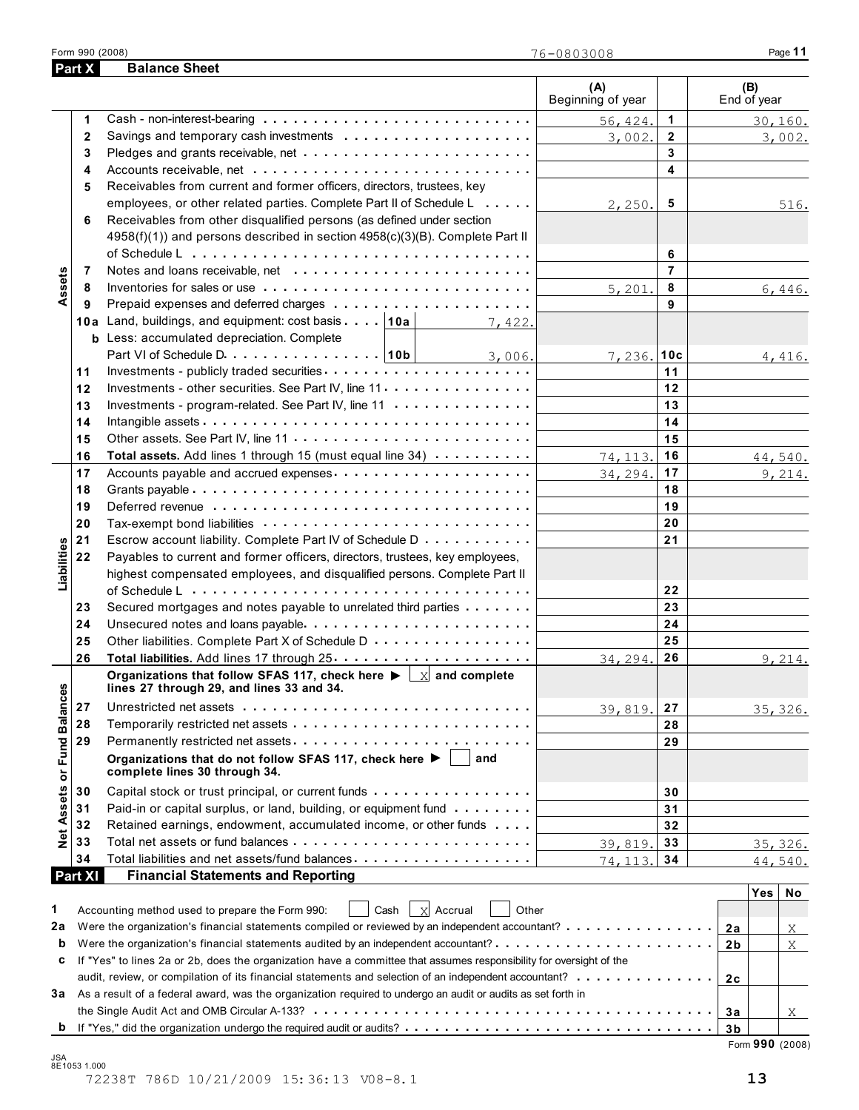| Part X            | <b>Balance Sheet</b>                                                                                                                             |                          |                |                    |
|-------------------|--------------------------------------------------------------------------------------------------------------------------------------------------|--------------------------|----------------|--------------------|
|                   |                                                                                                                                                  | (A)<br>Beginning of year |                | (B)<br>End of year |
| 1                 |                                                                                                                                                  | 56, 424.                 | $\mathbf{1}$   | 30,160.            |
| $\mathbf{2}$      |                                                                                                                                                  | 3,002.                   | $\overline{2}$ | 3,002.             |
| 3                 |                                                                                                                                                  |                          | 3              |                    |
| 4                 |                                                                                                                                                  |                          | 4              |                    |
| 5                 | Receivables from current and former officers, directors, trustees, key                                                                           |                          |                |                    |
|                   | employees, or other related parties. Complete Part II of Schedule L                                                                              | 2,250.                   | 5              | 516.               |
| 6                 | Receivables from other disqualified persons (as defined under section                                                                            |                          |                |                    |
|                   | 4958(f)(1)) and persons described in section 4958(c)(3)(B). Complete Part II                                                                     |                          |                |                    |
|                   |                                                                                                                                                  |                          | 6              |                    |
| Assets<br>7       |                                                                                                                                                  |                          | $\overline{7}$ |                    |
| 8                 |                                                                                                                                                  | 5,201.                   | 8              | 6,446.             |
| 9                 |                                                                                                                                                  |                          | 9              |                    |
|                   | 10a Land, buildings, and equipment: cost basis   10a  <br>7,422.                                                                                 |                          |                |                    |
|                   | <b>b</b> Less: accumulated depreciation. Complete                                                                                                |                          |                |                    |
|                   | Part VI of Schedule D. 10b   3, 006.                                                                                                             | 7,236.10c                |                | 4,416.             |
| 11                |                                                                                                                                                  |                          | 11             |                    |
| 12                | Investments - other securities. See Part IV, line 11                                                                                             |                          | 12             |                    |
| 13                | Investments - program-related. See Part IV, line 11                                                                                              |                          | 13             |                    |
| 14                |                                                                                                                                                  |                          | 14             |                    |
| 15                |                                                                                                                                                  |                          | 15             |                    |
| 16                | Total assets. Add lines 1 through 15 (must equal line 34) $\cdots$                                                                               | 74, 113.                 | 16             | 44,540.            |
| 17                |                                                                                                                                                  | 34, 294.                 | 17             | 9,214.             |
| 18                |                                                                                                                                                  |                          | 18             |                    |
| 19                |                                                                                                                                                  |                          | 19             |                    |
| 20                |                                                                                                                                                  |                          | 20             |                    |
|                   |                                                                                                                                                  |                          |                |                    |
| 21                | Escrow account liability. Complete Part IV of Schedule D                                                                                         |                          | 21             |                    |
| Liabilities<br>22 | Payables to current and former officers, directors, trustees, key employees,                                                                     |                          |                |                    |
|                   | highest compensated employees, and disqualified persons. Complete Part II                                                                        |                          |                |                    |
|                   |                                                                                                                                                  |                          | 22             |                    |
| 23                | Secured mortgages and notes payable to unrelated third parties                                                                                   |                          | 23             |                    |
| 24                | Unsecured notes and loans payable                                                                                                                |                          | 24             |                    |
| 25                | Other liabilities. Complete Part X of Schedule D                                                                                                 |                          | 25             |                    |
| 26                |                                                                                                                                                  | 34, 294.                 | 26             | 9,214.             |
| <b>Balances</b>   | Organizations that follow SFAS 117, check here $\blacktriangleright \lfloor x \rfloor$ and complete<br>lines 27 through 29, and lines 33 and 34. |                          |                |                    |
| 27                |                                                                                                                                                  | 39,819.                  | 27             | 35, 326.           |
| 28                |                                                                                                                                                  |                          | 28             |                    |
| 29                |                                                                                                                                                  |                          | 29             |                    |
| Fund I            | Organizations that do not follow SFAS 117, check here $\blacktriangleright$<br>and<br>complete lines 30 through 34.                              |                          |                |                    |
| 30                |                                                                                                                                                  |                          | 30             |                    |
| 31                | Paid-in or capital surplus, or land, building, or equipment fund                                                                                 |                          | 31             |                    |
| Assets<br>32      | Retained earnings, endowment, accumulated income, or other funds                                                                                 |                          | 32             |                    |
| <b>De</b><br>33   |                                                                                                                                                  | 39,819.                  | 33             | 35, 326.           |
| 34                | Total liabilities and net assets/fund balances                                                                                                   | 74, 113.                 | 34             | 44,540.            |
| Part XI           | <b>Financial Statements and Reporting</b>                                                                                                        |                          |                |                    |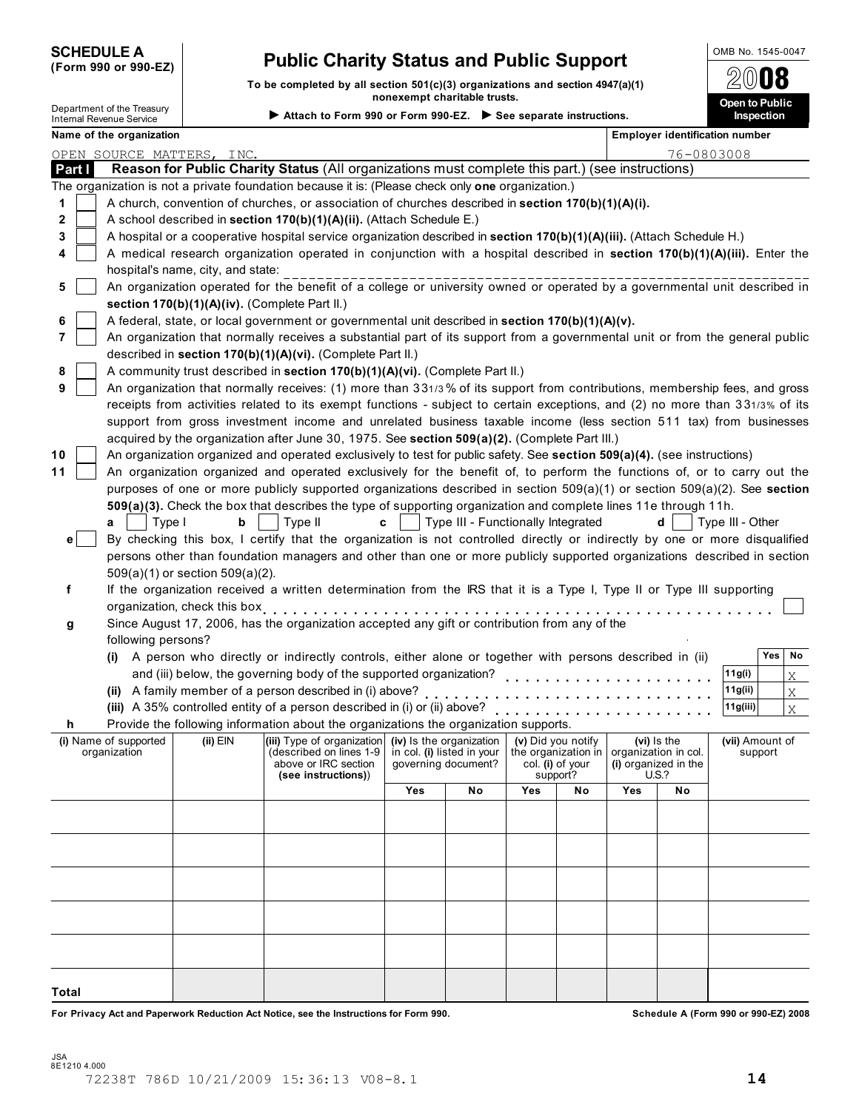| <b>SCHEDULE A</b> |  |                      |
|-------------------|--|----------------------|
|                   |  | (Form 990 or 990-EZ) |

# **Public Charity Status and Public Support Public Charity Status and Public Support**

**To be completed by all section 501(c)(3) organizations and section 4947(a)(1) nonexempt charitable trusts.** Department of the Treasury **Open to Public Attach to Form 990 or Form 990-EZ. See separate instructions. Inspection** Internal Revenue Service

2008

|              | Name of the organization |                                               |                                                                                                                                                                                                                                                                                                                                 |                                                     |                                    |                    |          |                                      | Employer identification number |                  |         |              |
|--------------|--------------------------|-----------------------------------------------|---------------------------------------------------------------------------------------------------------------------------------------------------------------------------------------------------------------------------------------------------------------------------------------------------------------------------------|-----------------------------------------------------|------------------------------------|--------------------|----------|--------------------------------------|--------------------------------|------------------|---------|--------------|
|              |                          | OPEN SOURCE MATTERS, INC.                     |                                                                                                                                                                                                                                                                                                                                 |                                                     |                                    |                    |          |                                      | 76-0803008                     |                  |         |              |
| Part I       |                          |                                               | Reason for Public Charity Status (All organizations must complete this part.) (see instructions)                                                                                                                                                                                                                                |                                                     |                                    |                    |          |                                      |                                |                  |         |              |
|              |                          |                                               | The organization is not a private foundation because it is: (Please check only one organization.)                                                                                                                                                                                                                               |                                                     |                                    |                    |          |                                      |                                |                  |         |              |
| 1            |                          |                                               | A church, convention of churches, or association of churches described in section 170(b)(1)(A)(i).                                                                                                                                                                                                                              |                                                     |                                    |                    |          |                                      |                                |                  |         |              |
| 2            |                          |                                               | A school described in section 170(b)(1)(A)(ii). (Attach Schedule E.)                                                                                                                                                                                                                                                            |                                                     |                                    |                    |          |                                      |                                |                  |         |              |
| 3            |                          |                                               | A hospital or a cooperative hospital service organization described in section $170(b)(1)(A)(iii)$ . (Attach Schedule H.)                                                                                                                                                                                                       |                                                     |                                    |                    |          |                                      |                                |                  |         |              |
|              |                          |                                               | A medical research organization operated in conjunction with a hospital described in section 170(b)(1)(A)(iii). Enter the                                                                                                                                                                                                       |                                                     |                                    |                    |          |                                      |                                |                  |         |              |
|              |                          | hospital's name, city, and state:             |                                                                                                                                                                                                                                                                                                                                 |                                                     |                                    |                    |          |                                      |                                |                  |         |              |
| 5            |                          |                                               | An organization operated for the benefit of a college or university owned or operated by a governmental unit described in                                                                                                                                                                                                       |                                                     |                                    |                    |          |                                      |                                |                  |         |              |
|              |                          | section 170(b)(1)(A)(iv). (Complete Part II.) |                                                                                                                                                                                                                                                                                                                                 |                                                     |                                    |                    |          |                                      |                                |                  |         |              |
| 6            |                          |                                               | A federal, state, or local government or governmental unit described in section 170(b)(1)(A)(v).                                                                                                                                                                                                                                |                                                     |                                    |                    |          |                                      |                                |                  |         |              |
| 7            |                          |                                               | An organization that normally receives a substantial part of its support from a governmental unit or from the general public                                                                                                                                                                                                    |                                                     |                                    |                    |          |                                      |                                |                  |         |              |
|              |                          |                                               | described in section 170(b)(1)(A)(vi). (Complete Part II.)                                                                                                                                                                                                                                                                      |                                                     |                                    |                    |          |                                      |                                |                  |         |              |
| 8            |                          |                                               | A community trust described in section 170(b)(1)(A)(vi). (Complete Part II.)                                                                                                                                                                                                                                                    |                                                     |                                    |                    |          |                                      |                                |                  |         |              |
| 9            |                          |                                               | An organization that normally receives: (1) more than 331/3% of its support from contributions, membership fees, and gross                                                                                                                                                                                                      |                                                     |                                    |                    |          |                                      |                                |                  |         |              |
|              |                          |                                               | receipts from activities related to its exempt functions - subject to certain exceptions, and (2) no more than 331/3% of its                                                                                                                                                                                                    |                                                     |                                    |                    |          |                                      |                                |                  |         |              |
|              |                          |                                               | support from gross investment income and unrelated business taxable income (less section 511 tax) from businesses                                                                                                                                                                                                               |                                                     |                                    |                    |          |                                      |                                |                  |         |              |
|              |                          |                                               | acquired by the organization after June 30, 1975. See section 509(a)(2). (Complete Part III.)                                                                                                                                                                                                                                   |                                                     |                                    |                    |          |                                      |                                |                  |         |              |
| 10           |                          |                                               | An organization organized and operated exclusively to test for public safety. See section 509(a)(4). (see instructions)                                                                                                                                                                                                         |                                                     |                                    |                    |          |                                      |                                |                  |         |              |
| 11           |                          |                                               | An organization organized and operated exclusively for the benefit of, to perform the functions of, or to carry out the                                                                                                                                                                                                         |                                                     |                                    |                    |          |                                      |                                |                  |         |              |
|              |                          |                                               | purposes of one or more publicly supported organizations described in section 509(a)(1) or section 509(a)(2). See section                                                                                                                                                                                                       |                                                     |                                    |                    |          |                                      |                                |                  |         |              |
|              |                          |                                               | 509(a)(3). Check the box that describes the type of supporting organization and complete lines 11e through 11h.                                                                                                                                                                                                                 |                                                     |                                    |                    |          |                                      |                                |                  |         |              |
|              | Type I<br>a              | b                                             | $\vert$ Type II                                                                                                                                                                                                                                                                                                                 | c                                                   | Type III - Functionally Integrated |                    |          |                                      | d                              | Type III - Other |         |              |
| e l          |                          |                                               | By checking this box, I certify that the organization is not controlled directly or indirectly by one or more disqualified                                                                                                                                                                                                      |                                                     |                                    |                    |          |                                      |                                |                  |         |              |
|              |                          |                                               | persons other than foundation managers and other than one or more publicly supported organizations described in section                                                                                                                                                                                                         |                                                     |                                    |                    |          |                                      |                                |                  |         |              |
|              |                          | $509(a)(1)$ or section $509(a)(2)$ .          | If the organization received a written determination from the IRS that it is a Type I, Type II or Type III supporting                                                                                                                                                                                                           |                                                     |                                    |                    |          |                                      |                                |                  |         |              |
| f            |                          |                                               |                                                                                                                                                                                                                                                                                                                                 |                                                     |                                    |                    |          |                                      |                                |                  |         |              |
|              |                          |                                               | organization, check this box experience in the set of the set of the set of the set of the set of the set of the set of the set of the set of the set of the set of the set of the set of the set of the set of the set of the<br>Since August 17, 2006, has the organization accepted any gift or contribution from any of the |                                                     |                                    |                    |          |                                      |                                |                  |         |              |
| g            | following persons?       |                                               |                                                                                                                                                                                                                                                                                                                                 |                                                     |                                    |                    |          |                                      |                                |                  |         |              |
|              |                          |                                               | (i) A person who directly or indirectly controls, either alone or together with persons described in (ii)                                                                                                                                                                                                                       |                                                     |                                    |                    |          |                                      |                                |                  | Yes     | No           |
|              |                          |                                               | and (iii) below, the governing body of the supported organization?                                                                                                                                                                                                                                                              |                                                     |                                    |                    |          |                                      |                                | 11g(i)           |         | X            |
|              |                          |                                               | (ii) A family member of a person described in (i) above?                                                                                                                                                                                                                                                                        |                                                     |                                    |                    |          |                                      |                                | 11g(ii)          |         | $X_{-}$      |
|              |                          |                                               | (iii) A 35% controlled entity of a person described in (i) or (ii) above?                                                                                                                                                                                                                                                       |                                                     |                                    |                    |          |                                      |                                | 11g(iii)         |         | $\mathbf{X}$ |
| h            |                          |                                               | Provide the following information about the organizations the organization supports.                                                                                                                                                                                                                                            |                                                     |                                    |                    | <u>.</u> |                                      |                                |                  |         |              |
|              | (i) Name of supported    | (ii) $EIN$                                    | (iii) Type of organization (iv) Is the organization                                                                                                                                                                                                                                                                             |                                                     |                                    | (v) Did you notify |          |                                      | (vi) is the                    | (vii) Amount of  |         |              |
|              | organization             |                                               | (described on lines 1-9 $\vert$ in col. (i) listed in your $\vert$ the organization in $\vert$ organization in col.                                                                                                                                                                                                             |                                                     |                                    |                    |          |                                      |                                |                  | support |              |
|              |                          |                                               | above or IRC section<br>(see instructions))                                                                                                                                                                                                                                                                                     | col. (i) of your<br>governing document?<br>support? |                                    |                    |          | (i) organized in the<br><b>U.S.?</b> |                                |                  |         |              |
|              |                          |                                               |                                                                                                                                                                                                                                                                                                                                 | Yes                                                 | No                                 | Yes                | No       | <b>Yes</b>                           | No                             |                  |         |              |
|              |                          |                                               |                                                                                                                                                                                                                                                                                                                                 |                                                     |                                    |                    |          |                                      |                                |                  |         |              |
|              |                          |                                               |                                                                                                                                                                                                                                                                                                                                 |                                                     |                                    |                    |          |                                      |                                |                  |         |              |
|              |                          |                                               |                                                                                                                                                                                                                                                                                                                                 |                                                     |                                    |                    |          |                                      |                                |                  |         |              |
|              |                          |                                               |                                                                                                                                                                                                                                                                                                                                 |                                                     |                                    |                    |          |                                      |                                |                  |         |              |
|              |                          |                                               |                                                                                                                                                                                                                                                                                                                                 |                                                     |                                    |                    |          |                                      |                                |                  |         |              |
|              |                          |                                               |                                                                                                                                                                                                                                                                                                                                 |                                                     |                                    |                    |          |                                      |                                |                  |         |              |
|              |                          |                                               |                                                                                                                                                                                                                                                                                                                                 |                                                     |                                    |                    |          |                                      |                                |                  |         |              |
|              |                          |                                               |                                                                                                                                                                                                                                                                                                                                 |                                                     |                                    |                    |          |                                      |                                |                  |         |              |
|              |                          |                                               |                                                                                                                                                                                                                                                                                                                                 |                                                     |                                    |                    |          |                                      |                                |                  |         |              |
|              |                          |                                               |                                                                                                                                                                                                                                                                                                                                 |                                                     |                                    |                    |          |                                      |                                |                  |         |              |
|              |                          |                                               |                                                                                                                                                                                                                                                                                                                                 |                                                     |                                    |                    |          |                                      |                                |                  |         |              |
| <b>Total</b> |                          |                                               |                                                                                                                                                                                                                                                                                                                                 |                                                     |                                    |                    |          |                                      |                                |                  |         |              |

**For Privacy Act and Paperwork Reduction Act Notice, see the Instructions for Form 990. Schedule A (Form 990 or 990-EZ) 2008**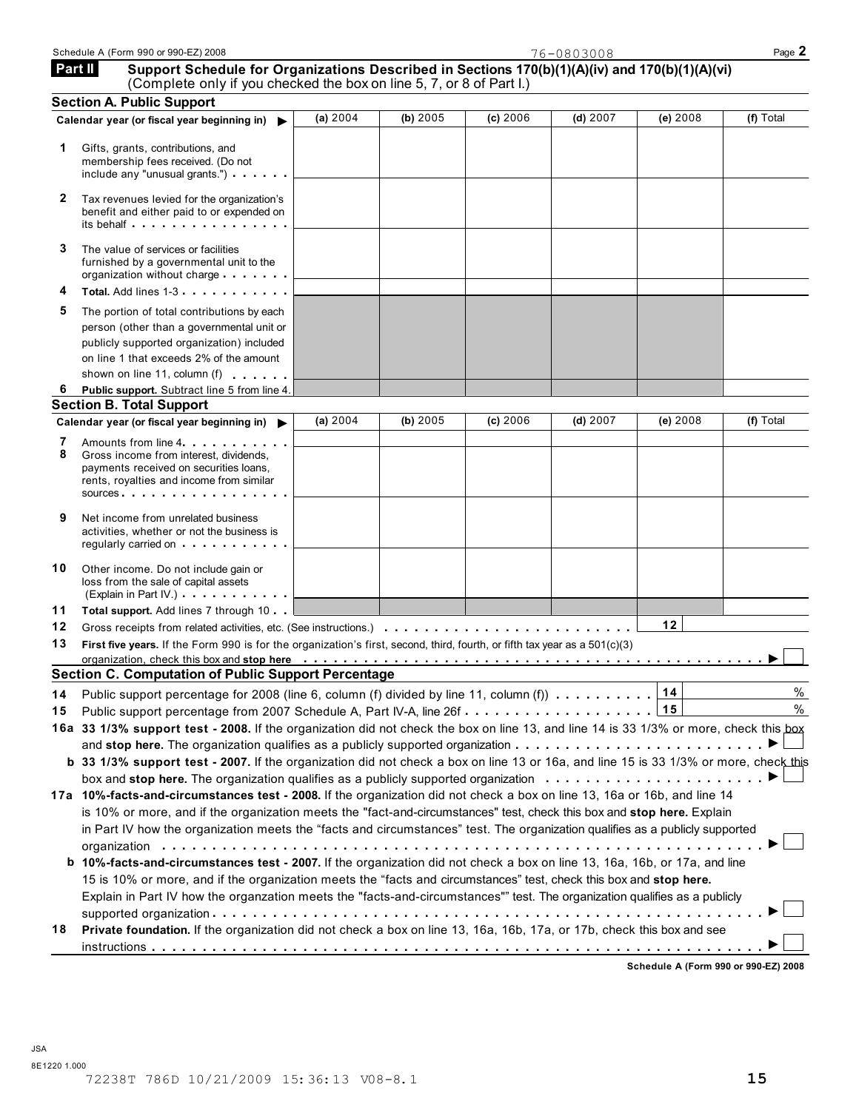|         | Schedule A (Form 990 or 990-EZ) 2008                                                           | Page |
|---------|------------------------------------------------------------------------------------------------|------|
| Part II | Support Schedule for Organizations Described in Sections 170(b)(1)(A)(iv) and 170(b)(1)(A)(vi) |      |

|--|

| <b>Part II</b> | Support Schedule for Organizations Described in Sections 170(b)(1)(A)(iv) and 170(b)(1)(A)(vi)<br>(Complete only if you checked the box on line 5, 7, or 8 of Part I.)                                                                                                                                             |          |            |          |            |          |           |
|----------------|--------------------------------------------------------------------------------------------------------------------------------------------------------------------------------------------------------------------------------------------------------------------------------------------------------------------|----------|------------|----------|------------|----------|-----------|
|                | <b>Section A. Public Support</b>                                                                                                                                                                                                                                                                                   |          |            |          |            |          |           |
|                | Calendar year (or fiscal year beginning in)                                                                                                                                                                                                                                                                        | (a) 2004 | (b) 2005   | (c) 2006 | $(d)$ 2007 | (e) 2008 | (f) Total |
| 1.             | Gifts, grants, contributions, and<br>membership fees received. (Do not<br>include any "unusual grants.")                                                                                                                                                                                                           |          |            |          |            |          |           |
| 2              | Tax revenues levied for the organization's<br>benefit and either paid to or expended on<br>its behalf entering the contract of the set of the set of the set of the set of the set of the set of the set o                                                                                                         |          |            |          |            |          |           |
| 3              | The value of services or facilities<br>furnished by a governmental unit to the<br>organization without charge                                                                                                                                                                                                      |          |            |          |            |          |           |
| 4              | Total. Add lines 1-3                                                                                                                                                                                                                                                                                               |          |            |          |            |          |           |
| 5              | The portion of total contributions by each                                                                                                                                                                                                                                                                         |          |            |          |            |          |           |
|                | person (other than a governmental unit or                                                                                                                                                                                                                                                                          |          |            |          |            |          |           |
|                | publicly supported organization) included                                                                                                                                                                                                                                                                          |          |            |          |            |          |           |
|                | on line 1 that exceeds 2% of the amount                                                                                                                                                                                                                                                                            |          |            |          |            |          |           |
|                | shown on line 11, column (f)                                                                                                                                                                                                                                                                                       |          |            |          |            |          |           |
| 6              | Public support. Subtract line 5 from line 4.                                                                                                                                                                                                                                                                       |          |            |          |            |          |           |
|                | <b>Section B. Total Support</b>                                                                                                                                                                                                                                                                                    |          |            |          |            |          |           |
|                | Calendar year (or fiscal year beginning in)                                                                                                                                                                                                                                                                        | (a) 2004 | (b) $2005$ | (c) 2006 | $(d)$ 2007 | (e) 2008 | (f) Total |
| 7<br>8         | Amounts from line 4<br>Gross income from interest, dividends.<br>payments received on securities loans,<br>rents, royalties and income from similar<br>sources                                                                                                                                                     |          |            |          |            |          |           |
| 9              | Net income from unrelated business<br>activities, whether or not the business is<br>regularly carried on the contract of the contract of the contract of the contract of the contract of the control of the contract of the contract of the contract of the contract of the contract of the contract of the contra |          |            |          |            |          |           |
| 10             | Other income. Do not include gain or<br>loss from the sale of capital assets<br>(Explain in Part IV.)                                                                                                                                                                                                              |          |            |          |            |          |           |
| 11             | Total support. Add lines 7 through 10                                                                                                                                                                                                                                                                              |          |            |          |            |          |           |
| 12             |                                                                                                                                                                                                                                                                                                                    |          |            |          |            | 12       |           |
| 13             | First five years. If the Form 990 is for the organization's first, second, third, fourth, or fifth tax year as a 501(c)(3)                                                                                                                                                                                         |          |            |          |            |          |           |
|                |                                                                                                                                                                                                                                                                                                                    |          |            |          |            |          |           |
|                | <b>Section C. Computation of Public Support Percentage</b>                                                                                                                                                                                                                                                         |          |            |          |            |          |           |
|                | 14 Public support percentage for 2008 (line 6, column (f) divided by line 11, column (f) $\ldots \ldots \ldots$                                                                                                                                                                                                    |          |            |          |            |          | $\%$      |
| 15             | Public support percentage from 2007 Schedule A, Part IV-A, line 26f15                                                                                                                                                                                                                                              |          |            |          |            |          | %         |
|                | 16a 33 1/3% support test - 2008. If the organization did not check the box on line 13, and line 14 is 33 1/3% or more, check this box                                                                                                                                                                              |          |            |          |            |          |           |
|                |                                                                                                                                                                                                                                                                                                                    |          |            |          |            |          |           |
|                | b 33 1/3% support test - 2007. If the organization did not check a box on line 13 or 16a, and line 15 is 33 1/3% or more, check this                                                                                                                                                                               |          |            |          |            |          |           |
|                | box and stop here. The organization qualifies as a publicly supported organization $\ldots \ldots \ldots \ldots \ldots \ldots$                                                                                                                                                                                     |          |            |          |            |          |           |
|                | 17a 10%-facts-and-circumstances test - 2008. If the organization did not check a box on line 13, 16a or 16b, and line 14                                                                                                                                                                                           |          |            |          |            |          |           |
|                | is 10% or more, and if the organization meets the "fact-and-circumstances" test, check this box and stop here. Explain                                                                                                                                                                                             |          |            |          |            |          |           |
|                | in Part IV how the organization meets the "facts and circumstances" test. The organization qualifies as a publicly supported                                                                                                                                                                                       |          |            |          |            |          |           |
|                |                                                                                                                                                                                                                                                                                                                    |          |            |          |            |          |           |
|                | b 10%-facts-and-circumstances test - 2007. If the organization did not check a box on line 13, 16a, 16b, or 17a, and line                                                                                                                                                                                          |          |            |          |            |          |           |
|                | 15 is 10% or more, and if the organization meets the "facts and circumstances" test, check this box and stop here.                                                                                                                                                                                                 |          |            |          |            |          |           |
|                | Explain in Part IV how the organzation meets the "facts-and-circumstances"" test. The organization qualifies as a publicly                                                                                                                                                                                         |          |            |          |            |          |           |
|                |                                                                                                                                                                                                                                                                                                                    |          |            |          |            |          |           |
| 18             | Private foundation. If the organization did not check a box on line 13, 16a, 16b, 17a, or 17b, check this box and see                                                                                                                                                                                              |          |            |          |            |          |           |
|                |                                                                                                                                                                                                                                                                                                                    |          |            |          |            |          |           |

**Schedule A (Form 990 or 990-EZ) 2008**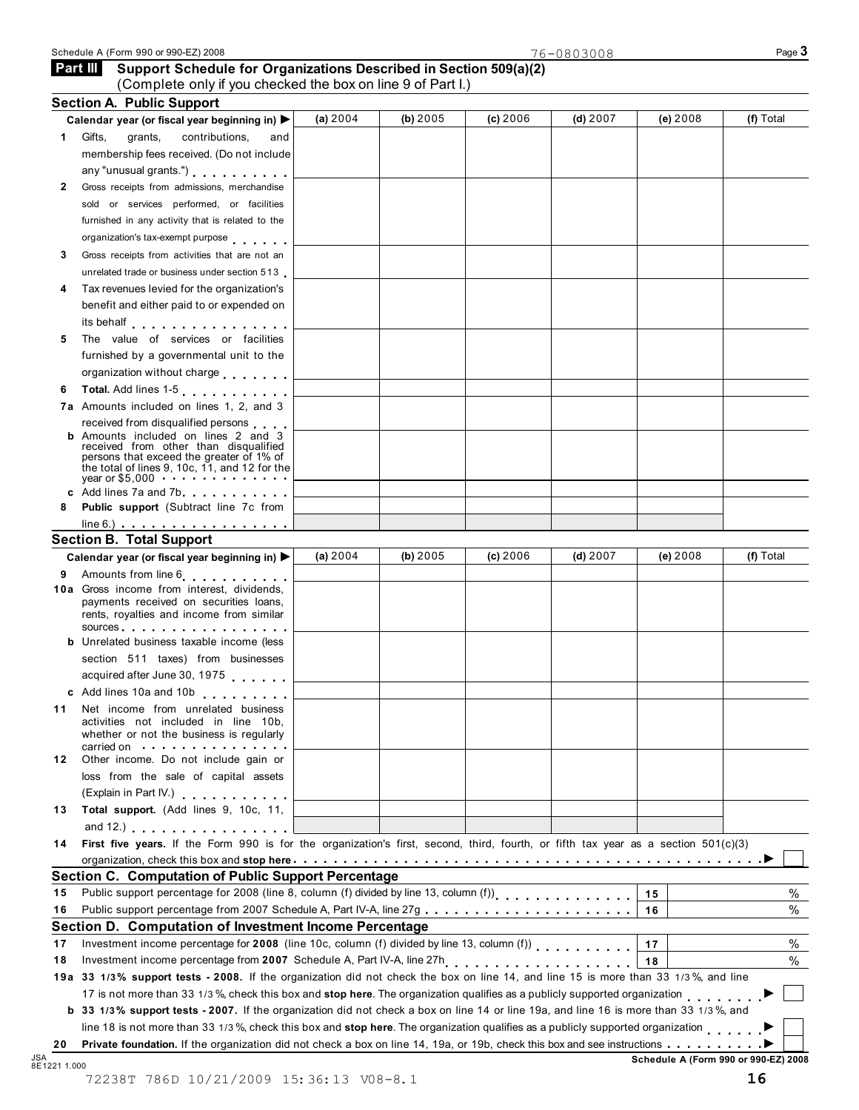**Part III** Support Schedule for Organizations Described in Section 509(a)(2)

|              | <b>Section A. Public Support</b><br>Calendar year (or fiscal year beginning in) ▶                                                                                                                                                                           | (a) 2004                                                                                                                                                                                                                                   | (b) 2005 | (c) 2006 | (d) $2007$                                                                                                                         | (e) 2008 | (f) Total |  |
|--------------|-------------------------------------------------------------------------------------------------------------------------------------------------------------------------------------------------------------------------------------------------------------|--------------------------------------------------------------------------------------------------------------------------------------------------------------------------------------------------------------------------------------------|----------|----------|------------------------------------------------------------------------------------------------------------------------------------|----------|-----------|--|
| $\mathbf 1$  | Gifts,<br>grants,<br>contributions,<br>and                                                                                                                                                                                                                  |                                                                                                                                                                                                                                            |          |          |                                                                                                                                    |          |           |  |
|              | membership fees received. (Do not include                                                                                                                                                                                                                   |                                                                                                                                                                                                                                            |          |          |                                                                                                                                    |          |           |  |
|              | any "unusual grants.")                                                                                                                                                                                                                                      |                                                                                                                                                                                                                                            |          |          |                                                                                                                                    |          |           |  |
| $\mathbf{2}$ | Gross receipts from admissions, merchandise                                                                                                                                                                                                                 |                                                                                                                                                                                                                                            |          |          |                                                                                                                                    |          |           |  |
|              | sold or services performed, or facilities                                                                                                                                                                                                                   |                                                                                                                                                                                                                                            |          |          |                                                                                                                                    |          |           |  |
|              | furnished in any activity that is related to the                                                                                                                                                                                                            |                                                                                                                                                                                                                                            |          |          |                                                                                                                                    |          |           |  |
|              | organization's tax-exempt purpose                                                                                                                                                                                                                           |                                                                                                                                                                                                                                            |          |          |                                                                                                                                    |          |           |  |
| 3            | Gross receipts from activities that are not an                                                                                                                                                                                                              |                                                                                                                                                                                                                                            |          |          |                                                                                                                                    |          |           |  |
|              | unrelated trade or business under section 513                                                                                                                                                                                                               |                                                                                                                                                                                                                                            |          |          |                                                                                                                                    |          |           |  |
|              | Tax revenues levied for the organization's                                                                                                                                                                                                                  |                                                                                                                                                                                                                                            |          |          |                                                                                                                                    |          |           |  |
| 4            |                                                                                                                                                                                                                                                             |                                                                                                                                                                                                                                            |          |          |                                                                                                                                    |          |           |  |
|              | benefit and either paid to or expended on<br>its behalf entertainment and the set of the set of the set of the set of the set of the set of the set of the                                                                                                  |                                                                                                                                                                                                                                            |          |          |                                                                                                                                    |          |           |  |
| 5            | The value of services or facilities                                                                                                                                                                                                                         |                                                                                                                                                                                                                                            |          |          |                                                                                                                                    |          |           |  |
|              | furnished by a governmental unit to the                                                                                                                                                                                                                     |                                                                                                                                                                                                                                            |          |          |                                                                                                                                    |          |           |  |
|              | organization without charge                                                                                                                                                                                                                                 |                                                                                                                                                                                                                                            |          |          |                                                                                                                                    |          |           |  |
| 6            |                                                                                                                                                                                                                                                             |                                                                                                                                                                                                                                            |          |          |                                                                                                                                    |          |           |  |
|              | 7a Amounts included on lines 1, 2, and 3                                                                                                                                                                                                                    |                                                                                                                                                                                                                                            |          |          |                                                                                                                                    |          |           |  |
|              | received from disqualified persons                                                                                                                                                                                                                          |                                                                                                                                                                                                                                            |          |          |                                                                                                                                    |          |           |  |
|              | <b>b</b> Amounts included on lines 2 and 3<br>received from other than disqualified<br>persons that exceed the greater of 1% of<br>the total of lines 9, 10c, 11, and 12 for the                                                                            |                                                                                                                                                                                                                                            |          |          |                                                                                                                                    |          |           |  |
|              | year or $$5,000$<br>c Add lines 7a and 7b                                                                                                                                                                                                                   |                                                                                                                                                                                                                                            |          |          |                                                                                                                                    |          |           |  |
| 8            | <b>Public support</b> (Subtract line 7c from                                                                                                                                                                                                                |                                                                                                                                                                                                                                            |          |          |                                                                                                                                    |          |           |  |
|              | $line 6.)$                                                                                                                                                                                                                                                  |                                                                                                                                                                                                                                            |          |          |                                                                                                                                    |          |           |  |
|              | <b>Section B. Total Support</b>                                                                                                                                                                                                                             |                                                                                                                                                                                                                                            |          |          |                                                                                                                                    |          |           |  |
|              | Calendar year (or fiscal year beginning in)                                                                                                                                                                                                                 | (a) $2004$                                                                                                                                                                                                                                 | (b) 2005 | (c) 2006 | (d) $2007$                                                                                                                         | (e) 2008 | (f) Total |  |
| 9            | Amounts from line 6                                                                                                                                                                                                                                         |                                                                                                                                                                                                                                            |          |          |                                                                                                                                    |          |           |  |
|              | 10a Gross income from interest, dividends,<br>payments received on securities loans,<br>rents, royalties and income from similar<br>sources                                                                                                                 |                                                                                                                                                                                                                                            |          |          |                                                                                                                                    |          |           |  |
|              | <b>b</b> Unrelated business taxable income (less                                                                                                                                                                                                            |                                                                                                                                                                                                                                            |          |          |                                                                                                                                    |          |           |  |
|              | section 511 taxes) from businesses                                                                                                                                                                                                                          |                                                                                                                                                                                                                                            |          |          |                                                                                                                                    |          |           |  |
|              | acquired after June 30, 1975                                                                                                                                                                                                                                |                                                                                                                                                                                                                                            |          |          |                                                                                                                                    |          |           |  |
|              | c Add lines 10a and 10b                                                                                                                                                                                                                                     |                                                                                                                                                                                                                                            |          |          |                                                                                                                                    |          |           |  |
|              | Net income from unrelated business<br>activities not included in line 10b,<br>whether or not the business is regularly                                                                                                                                      |                                                                                                                                                                                                                                            |          |          |                                                                                                                                    |          |           |  |
|              | carried on experience and the set of the set of the set of the set of the set of the set of the set of the set of the set of the set of the set of the set of the set of the set of the set of the set of the set of the set o                              |                                                                                                                                                                                                                                            |          |          |                                                                                                                                    |          |           |  |
| 12           | Other income. Do not include gain or                                                                                                                                                                                                                        |                                                                                                                                                                                                                                            |          |          |                                                                                                                                    |          |           |  |
|              | loss from the sale of capital assets                                                                                                                                                                                                                        |                                                                                                                                                                                                                                            |          |          |                                                                                                                                    |          |           |  |
|              | (Explain in Part IV.)                                                                                                                                                                                                                                       |                                                                                                                                                                                                                                            |          |          |                                                                                                                                    |          |           |  |
| 13           | Total support. (Add lines 9, 10c, 11,                                                                                                                                                                                                                       |                                                                                                                                                                                                                                            |          |          |                                                                                                                                    |          |           |  |
|              | and $12.$ ) $\ldots$ $\ldots$ $\ldots$ $\ldots$ $\ldots$                                                                                                                                                                                                    |                                                                                                                                                                                                                                            |          |          |                                                                                                                                    |          |           |  |
| 14           | First five years. If the Form 990 is for the organization's first, second, third, fourth, or fifth tax year as a section 501(c)(3)                                                                                                                          |                                                                                                                                                                                                                                            |          |          |                                                                                                                                    |          |           |  |
|              | organization, check this box and stop here entitled as a series of the content of the series of the series of $\blacktriangleright$                                                                                                                         |                                                                                                                                                                                                                                            |          |          |                                                                                                                                    |          |           |  |
|              | Section C. Computation of Public Support Percentage                                                                                                                                                                                                         |                                                                                                                                                                                                                                            |          |          |                                                                                                                                    |          |           |  |
| 15           | Public support percentage for 2008 (line 8, column (f) divided by line 13, column (f))<br>[11] reading for the 13, column (f) $\frac{1}{2}$ and $\frac{1}{2}$ and $\frac{1}{2}$ and $\frac{1}{2}$ and $\frac{1}{2}$ and $\frac{1}{2}$ and $\frac{1}{2}$ and |                                                                                                                                                                                                                                            |          |          |                                                                                                                                    | 15       | %         |  |
|              |                                                                                                                                                                                                                                                             |                                                                                                                                                                                                                                            |          |          |                                                                                                                                    | 16       | ℅         |  |
| 16           | Section D. Computation of Investment Income Percentage                                                                                                                                                                                                      |                                                                                                                                                                                                                                            |          |          |                                                                                                                                    |          |           |  |
|              |                                                                                                                                                                                                                                                             |                                                                                                                                                                                                                                            |          |          |                                                                                                                                    | 17       | $\%$      |  |
| 17           | Investment income percentage for 2008 (line 10c, column (f) divided by line 13, column (f))                                                                                                                                                                 | Investment income percentage from 2007 Schedule A, Part IV-A, line 27h [10] was the case of the case of the case of the case of the case of the case of the case of the case of the case of the case of the case of the case o<br>18<br>18 |          |          |                                                                                                                                    | $\%$     |           |  |
|              |                                                                                                                                                                                                                                                             |                                                                                                                                                                                                                                            |          |          | 19a 33 1/3% support tests - 2008. If the organization did not check the box on line 14, and line 15 is more than 33 1/3%, and line |          |           |  |
|              |                                                                                                                                                                                                                                                             |                                                                                                                                                                                                                                            |          |          |                                                                                                                                    |          |           |  |
|              | 17 is not more than 33 1/3 %, check this box and stop here. The organization qualifies as a publicly supported organization                                                                                                                                 |                                                                                                                                                                                                                                            |          |          |                                                                                                                                    |          |           |  |
|              | b 33 1/3% support tests - 2007. If the organization did not check a box on line 14 or line 19a, and line 16 is more than 33 1/3%, and                                                                                                                       |                                                                                                                                                                                                                                            |          |          |                                                                                                                                    |          |           |  |
|              | line 18 is not more than 33 1/3 %, check this box and stop here. The organization qualifies as a publicly supported organization                                                                                                                            |                                                                                                                                                                                                                                            |          |          |                                                                                                                                    |          |           |  |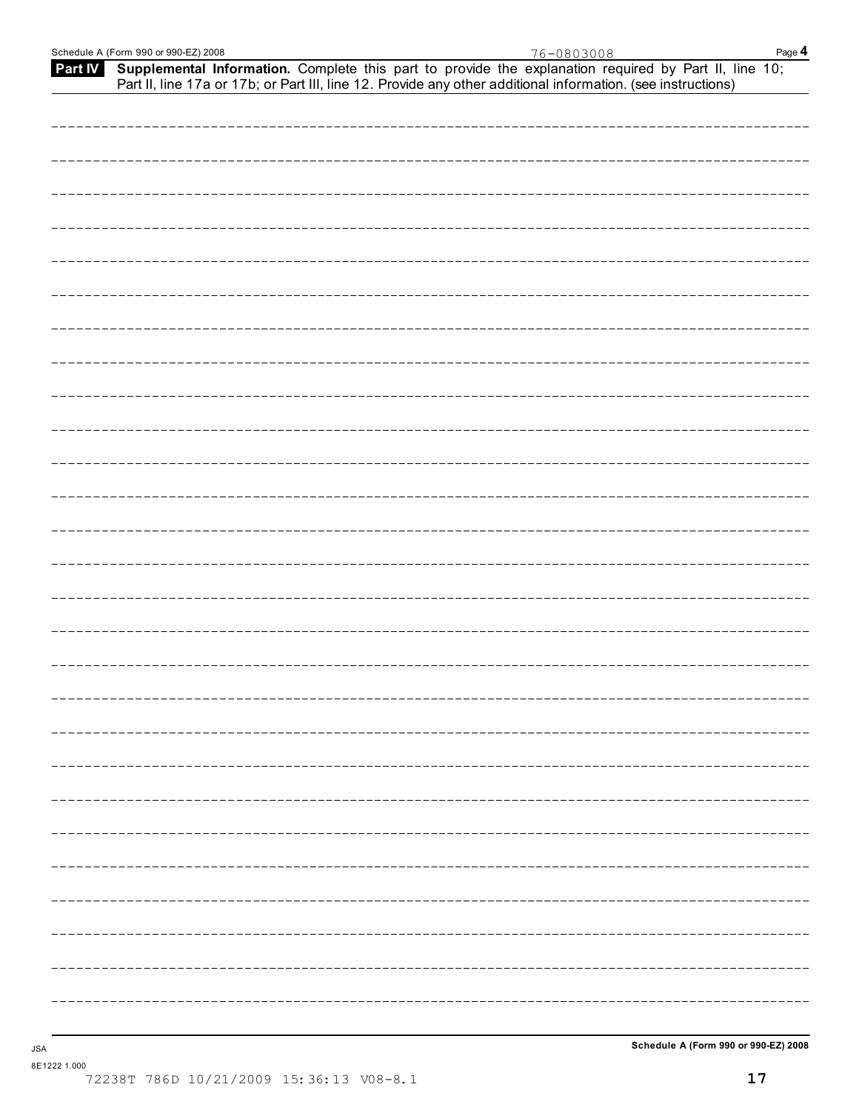|  |  |  | Part IV Supplemental Information. Complete this part to provide the explanation required by Part II, line 10;<br>Part II, line 17a or 17b; or Part III, line 12. Provide any other additional information. (see instructions) |  |
|--|--|--|-------------------------------------------------------------------------------------------------------------------------------------------------------------------------------------------------------------------------------|--|
|  |  |  |                                                                                                                                                                                                                               |  |
|  |  |  |                                                                                                                                                                                                                               |  |
|  |  |  |                                                                                                                                                                                                                               |  |
|  |  |  |                                                                                                                                                                                                                               |  |
|  |  |  |                                                                                                                                                                                                                               |  |
|  |  |  |                                                                                                                                                                                                                               |  |
|  |  |  |                                                                                                                                                                                                                               |  |
|  |  |  |                                                                                                                                                                                                                               |  |
|  |  |  |                                                                                                                                                                                                                               |  |
|  |  |  |                                                                                                                                                                                                                               |  |
|  |  |  |                                                                                                                                                                                                                               |  |
|  |  |  |                                                                                                                                                                                                                               |  |
|  |  |  |                                                                                                                                                                                                                               |  |
|  |  |  |                                                                                                                                                                                                                               |  |
|  |  |  |                                                                                                                                                                                                                               |  |
|  |  |  |                                                                                                                                                                                                                               |  |
|  |  |  |                                                                                                                                                                                                                               |  |
|  |  |  |                                                                                                                                                                                                                               |  |
|  |  |  |                                                                                                                                                                                                                               |  |
|  |  |  |                                                                                                                                                                                                                               |  |
|  |  |  |                                                                                                                                                                                                                               |  |
|  |  |  |                                                                                                                                                                                                                               |  |
|  |  |  |                                                                                                                                                                                                                               |  |
|  |  |  |                                                                                                                                                                                                                               |  |
|  |  |  |                                                                                                                                                                                                                               |  |
|  |  |  |                                                                                                                                                                                                                               |  |
|  |  |  |                                                                                                                                                                                                                               |  |
|  |  |  |                                                                                                                                                                                                                               |  |
|  |  |  |                                                                                                                                                                                                                               |  |

8E1222 1.000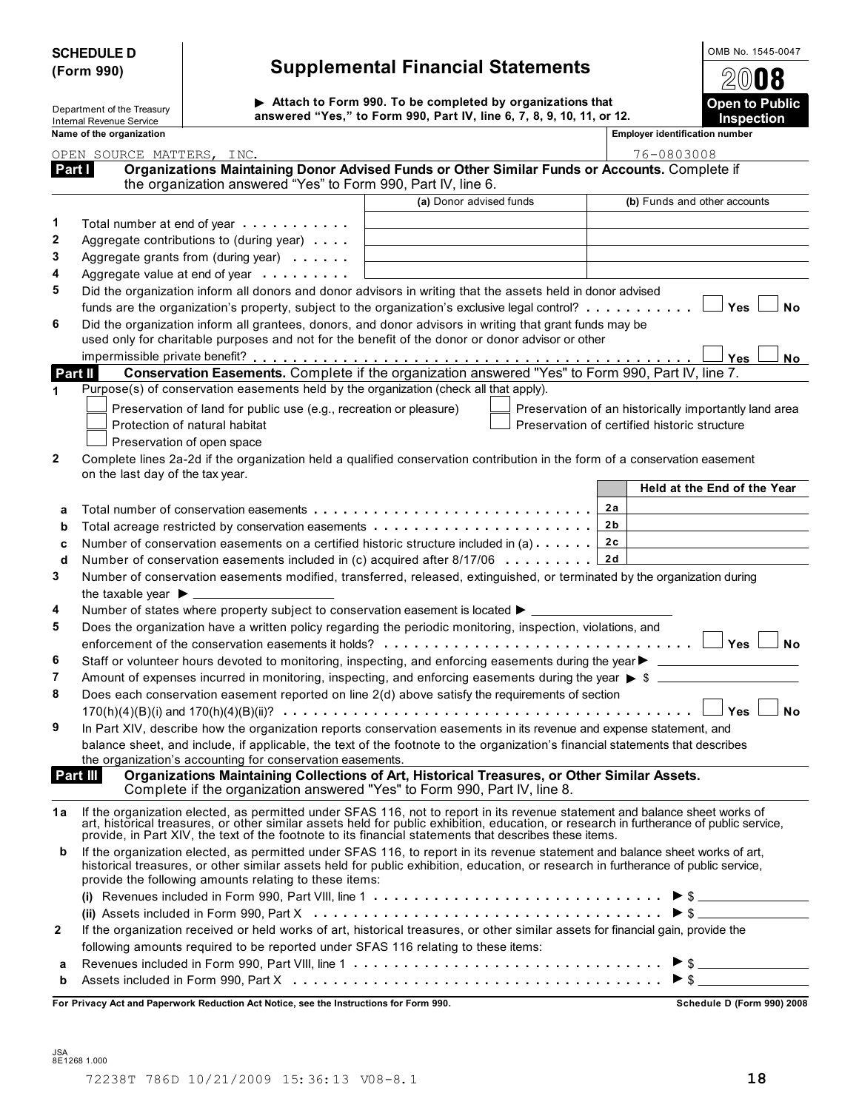| <b>SCHEDULE D</b> |  |
|-------------------|--|
| (Form 990)        |  |

### **SCHEDULE D OMB No. 1545-0047 (Form 990) Supplemental Financial Statements**

**Attach to Form 990. To be completed by organizations that**<br> **Department of the Treasury** Internal Revenue Service **Inspection**<br>Internal Revenue Service **Inspection** 

|        | Name of the organization                                                                                                                                                                                                       |                         | <b>Employer identification number</b>                 |
|--------|--------------------------------------------------------------------------------------------------------------------------------------------------------------------------------------------------------------------------------|-------------------------|-------------------------------------------------------|
|        | OPEN SOURCE MATTERS, INC.                                                                                                                                                                                                      |                         | 76-0803008                                            |
| Part I | Organizations Maintaining Donor Advised Funds or Other Similar Funds or Accounts. Complete if<br>the organization answered "Yes" to Form 990, Part IV, line 6.                                                                 |                         |                                                       |
|        |                                                                                                                                                                                                                                | (a) Donor advised funds | (b) Funds and other accounts                          |
| 1      | Total number at end of year example.                                                                                                                                                                                           |                         |                                                       |
| 2      | Aggregate contributions to (during year)                                                                                                                                                                                       |                         |                                                       |
| 3      | Aggregate grants from (during year)                                                                                                                                                                                            |                         |                                                       |
| 4      | Aggregate value at end of year example.                                                                                                                                                                                        |                         |                                                       |
| 5      | Did the organization inform all donors and donor advisors in writing that the assets held in donor advised                                                                                                                     |                         |                                                       |
|        | funds are the organization's property, subject to the organization's exclusive legal control? $\Box$ Yes                                                                                                                       |                         | <b>No</b>                                             |
| 6      | Did the organization inform all grantees, donors, and donor advisors in writing that grant funds may be                                                                                                                        |                         |                                                       |
|        | used only for charitable purposes and not for the benefit of the donor or donor advisor or other                                                                                                                               |                         |                                                       |
|        |                                                                                                                                                                                                                                |                         | Yes<br>No                                             |
|        | Conservation Easements. Complete if the organization answered "Yes" to Form 990, Part IV, line 7.<br>Part II                                                                                                                   |                         |                                                       |
| 1      | Purpose(s) of conservation easements held by the organization (check all that apply).                                                                                                                                          |                         |                                                       |
|        | Preservation of land for public use (e.g., recreation or pleasure)                                                                                                                                                             |                         | Preservation of an historically importantly land area |
|        | Protection of natural habitat                                                                                                                                                                                                  |                         | Preservation of certified historic structure          |
|        | Preservation of open space                                                                                                                                                                                                     |                         |                                                       |
| 2      | Complete lines 2a-2d if the organization held a qualified conservation contribution in the form of a conservation easement                                                                                                     |                         |                                                       |
|        | on the last day of the tax year.                                                                                                                                                                                               |                         |                                                       |
|        |                                                                                                                                                                                                                                |                         | Held at the End of the Year                           |
| а      | Total number of conservation easements                                                                                                                                                                                         |                         | 2a                                                    |
| b      |                                                                                                                                                                                                                                |                         | 2 b                                                   |
| c      | Number of conservation easements on a certified historic structure included in (a) $\dots$                                                                                                                                     |                         | 2c                                                    |
| d      | Number of conservation easements included in (c) acquired after $8/17/06$                                                                                                                                                      |                         | 2d                                                    |
| 3      | Number of conservation easements modified, transferred, released, extinguished, or terminated by the organization during                                                                                                       |                         |                                                       |
|        |                                                                                                                                                                                                                                |                         |                                                       |
| 4      | Number of states where property subject to conservation easement is located $\blacktriangleright$ _____                                                                                                                        |                         |                                                       |
| 5      | Does the organization have a written policy regarding the periodic monitoring, inspection, violations, and                                                                                                                     |                         |                                                       |
|        |                                                                                                                                                                                                                                |                         | <b>No</b>                                             |
| 6      |                                                                                                                                                                                                                                |                         |                                                       |
| 7      | Amount of expenses incurred in monitoring, inspecting, and enforcing easements during the year $\triangleright$ \$                                                                                                             |                         |                                                       |
| 8      | Does each conservation easement reported on line 2(d) above satisfy the requirements of section                                                                                                                                |                         |                                                       |
|        |                                                                                                                                                                                                                                |                         | Yes<br><b>No</b>                                      |
| 9      | In Part XIV, describe how the organization reports conservation easements in its revenue and expense statement, and                                                                                                            |                         |                                                       |
|        | balance sheet, and include, if applicable, the text of the footnote to the organization's financial statements that describes                                                                                                  |                         |                                                       |
|        | the organization's accounting for conservation easements.<br>Part III<br>Organizations Maintaining Collections of Art, Historical Treasures, or Other Similar Assets.                                                          |                         |                                                       |
|        | Complete if the organization answered "Yes" to Form 990, Part IV, line 8.                                                                                                                                                      |                         |                                                       |
| 1a     |                                                                                                                                                                                                                                |                         |                                                       |
|        | If the organization elected, as permitted under SFAS 116, not to report in its revenue statement and balance sheet works of art, historical treasures, or other similar assets held for public exhibition, education, or resea |                         |                                                       |
|        |                                                                                                                                                                                                                                |                         |                                                       |
| b      | If the organization elected, as permitted under SFAS 116, to report in its revenue statement and balance sheet works of art,                                                                                                   |                         |                                                       |
|        | historical treasures, or other similar assets held for public exhibition, education, or research in furtherance of public service,<br>provide the following amounts relating to these items:                                   |                         |                                                       |
|        |                                                                                                                                                                                                                                |                         |                                                       |
|        | (ii) Assets included in Form 990, Part X $\dots\dots\dots\dots\dots\dots\dots\dots\dots\dots\dots\dots\dots$                                                                                                                   |                         |                                                       |
| 2      | If the organization received or held works of art, historical treasures, or other similar assets for financial gain, provide the                                                                                               |                         |                                                       |
|        | following amounts required to be reported under SFAS 116 relating to these items:                                                                                                                                              |                         |                                                       |
| а      | Revenues included in Form 990, Part VIII, line 1 $\dots \dots \dots \dots \dots \dots \dots \dots \dots \dots \dots \bullet \$                                                                                                 |                         |                                                       |
| b      | Assets included in Form 990, Part $X_1, \ldots, X_n, \ldots, X_n, \ldots, X_n, \ldots, \ldots, \ldots, \ldots, \ldots, \blacktriangleright \$                                                                                  |                         |                                                       |
|        |                                                                                                                                                                                                                                |                         |                                                       |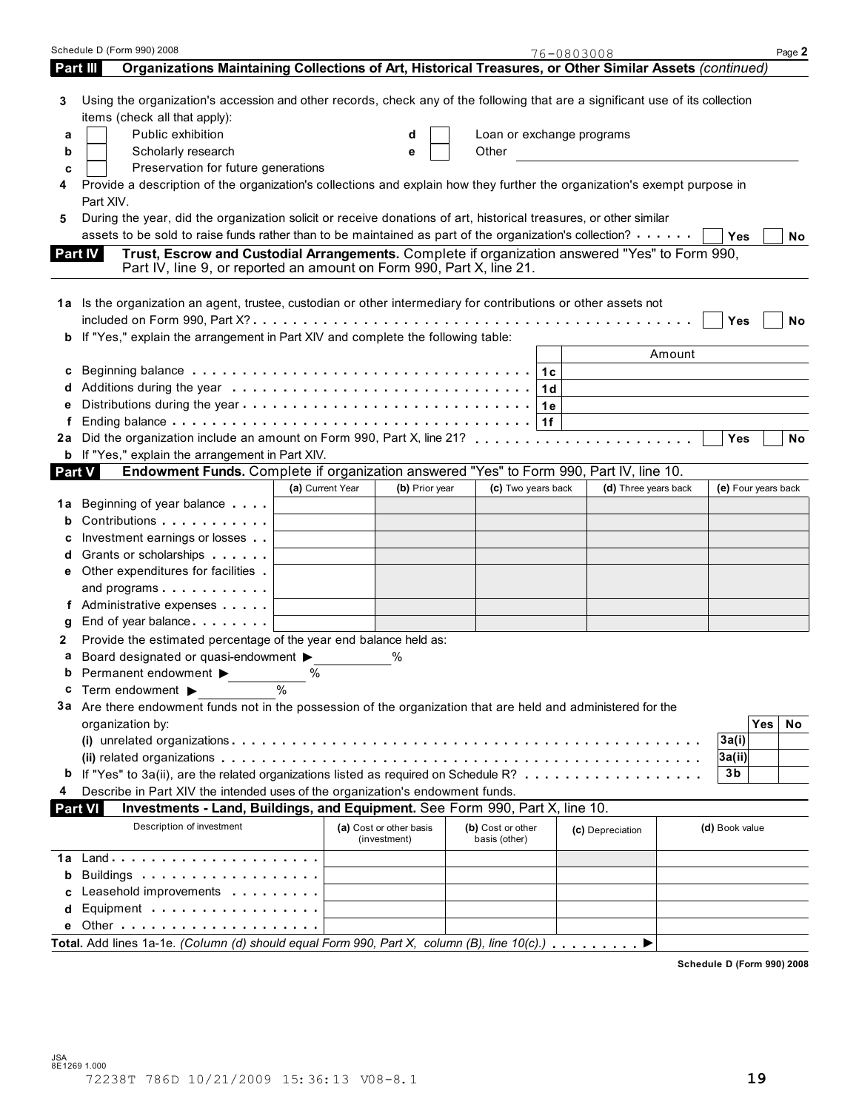|          | Schedule D (Form 990) 2008                                                                                                                                                                                                     |                  |                                         |                                    | 76-0803008                            | Page 2              |
|----------|--------------------------------------------------------------------------------------------------------------------------------------------------------------------------------------------------------------------------------|------------------|-----------------------------------------|------------------------------------|---------------------------------------|---------------------|
| Part III | Organizations Maintaining Collections of Art, Historical Treasures, or Other Similar Assets (continued)                                                                                                                        |                  |                                         |                                    |                                       |                     |
| 3        | Using the organization's accession and other records, check any of the following that are a significant use of its collection<br>items (check all that apply):                                                                 |                  |                                         |                                    |                                       |                     |
| а        | Public exhibition                                                                                                                                                                                                              |                  |                                         | Loan or exchange programs          |                                       |                     |
| b        | Scholarly research                                                                                                                                                                                                             |                  | е                                       | Other                              |                                       |                     |
|          |                                                                                                                                                                                                                                |                  |                                         |                                    | <u> 1989 - Jan Barbara III, martx</u> |                     |
| c        | Preservation for future generations                                                                                                                                                                                            |                  |                                         |                                    |                                       |                     |
|          | Provide a description of the organization's collections and explain how they further the organization's exempt purpose in<br>Part XIV.                                                                                         |                  |                                         |                                    |                                       |                     |
| 5        | During the year, did the organization solicit or receive donations of art, historical treasures, or other similar                                                                                                              |                  |                                         |                                    |                                       |                     |
|          | assets to be sold to raise funds rather than to be maintained as part of the organization's collection?                                                                                                                        |                  |                                         |                                    |                                       | Yes<br><b>No</b>    |
|          | Trust, Escrow and Custodial Arrangements. Complete if organization answered "Yes" to Form 990,<br><b>Part IV</b><br>Part IV, line 9, or reported an amount on Form 990, Part X, line 21.                                       |                  |                                         |                                    |                                       |                     |
|          | 1a Is the organization an agent, trustee, custodian or other intermediary for contributions or other assets not                                                                                                                |                  |                                         |                                    |                                       | Yes<br>No           |
| b        | If "Yes," explain the arrangement in Part XIV and complete the following table:                                                                                                                                                |                  |                                         |                                    |                                       |                     |
|          |                                                                                                                                                                                                                                |                  |                                         |                                    | Amount                                |                     |
| c        | Beginning balance $\ldots \ldots \ldots \ldots \ldots \ldots \ldots \ldots \ldots \ldots \ldots$                                                                                                                               |                  |                                         |                                    |                                       |                     |
| a        |                                                                                                                                                                                                                                |                  |                                         | 1 <sub>d</sub>                     |                                       |                     |
|          |                                                                                                                                                                                                                                |                  |                                         |                                    |                                       |                     |
|          |                                                                                                                                                                                                                                |                  |                                         | 1e                                 |                                       |                     |
| f        |                                                                                                                                                                                                                                |                  |                                         | 1f                                 |                                       |                     |
| 2a       |                                                                                                                                                                                                                                |                  |                                         |                                    |                                       | No<br>Yes           |
|          | b If "Yes," explain the arrangement in Part XIV.                                                                                                                                                                               |                  |                                         |                                    |                                       |                     |
| Part V   | Endowment Funds. Complete if organization answered "Yes" to Form 990, Part IV, line 10.                                                                                                                                        |                  |                                         |                                    |                                       |                     |
|          |                                                                                                                                                                                                                                | (a) Current Year | (b) Prior year                          | (c) Two years back                 | (d) Three years back                  | (e) Four years back |
| 1а       | Beginning of year balance                                                                                                                                                                                                      |                  |                                         |                                    |                                       |                     |
| b        | Contributions                                                                                                                                                                                                                  |                  |                                         |                                    |                                       |                     |
|          | Investment earnings or losses                                                                                                                                                                                                  |                  |                                         |                                    |                                       |                     |
| d        | Grants or scholarships                                                                                                                                                                                                         |                  |                                         |                                    |                                       |                     |
|          | Other expenditures for facilities                                                                                                                                                                                              |                  |                                         |                                    |                                       |                     |
|          | and programs                                                                                                                                                                                                                   |                  |                                         |                                    |                                       |                     |
|          | f Administrative expenses                                                                                                                                                                                                      |                  |                                         |                                    |                                       |                     |
| g        | End of year balance                                                                                                                                                                                                            |                  |                                         |                                    |                                       |                     |
| 2        | Provide the estimated percentage of the year end balance held as:                                                                                                                                                              |                  |                                         |                                    |                                       |                     |
|          |                                                                                                                                                                                                                                |                  |                                         |                                    |                                       |                     |
| а        | Board designated or quasi-endowment $\blacktriangleright$                                                                                                                                                                      |                  | %                                       |                                    |                                       |                     |
|          | Permanent endowment ▶ 9%                                                                                                                                                                                                       |                  |                                         |                                    |                                       |                     |
| c        | Term endowment ▶                                                                                                                                                                                                               | $\frac{0}{0}$    |                                         |                                    |                                       |                     |
|          | 3a Are there endowment funds not in the possession of the organization that are held and administered for the                                                                                                                  |                  |                                         |                                    |                                       |                     |
|          | organization by:                                                                                                                                                                                                               |                  |                                         |                                    |                                       | Yes<br>No           |
|          |                                                                                                                                                                                                                                |                  |                                         |                                    |                                       | 3a(i)               |
|          |                                                                                                                                                                                                                                |                  |                                         |                                    |                                       | 3a(ii)              |
|          | If "Yes" to 3a(ii), are the related organizations listed as required on Schedule R?                                                                                                                                            |                  |                                         |                                    |                                       | 3b                  |
| 4        | Describe in Part XIV the intended uses of the organization's endowment funds.                                                                                                                                                  |                  |                                         |                                    |                                       |                     |
|          | Investments - Land, Buildings, and Equipment. See Form 990, Part X, line 10.<br><b>Part VI</b>                                                                                                                                 |                  |                                         |                                    |                                       |                     |
|          | Description of investment                                                                                                                                                                                                      |                  | (a) Cost or other basis<br>(investment) | (b) Cost or other<br>basis (other) | (c) Depreciation                      | (d) Book value      |
| 1a       |                                                                                                                                                                                                                                |                  |                                         |                                    |                                       |                     |
| b        | Buildings                                                                                                                                                                                                                      |                  |                                         |                                    |                                       |                     |
| c        | Leasehold improvements                                                                                                                                                                                                         |                  |                                         |                                    |                                       |                     |
| d        | Equipment explorer and the set of the set of the set of the set of the set of the set of the set of the set of the set of the set of the set of the set of the set of the set of the set of the set of the set of the set of t |                  |                                         |                                    |                                       |                     |
|          |                                                                                                                                                                                                                                |                  |                                         |                                    |                                       |                     |
|          | Total. Add lines 1a-1e. (Column (d) should equal Form 990, Part X, column (B), line 10(c).)                                                                                                                                    |                  |                                         |                                    |                                       |                     |
|          |                                                                                                                                                                                                                                |                  |                                         |                                    |                                       |                     |

**Schedule D (Form 990) 2008**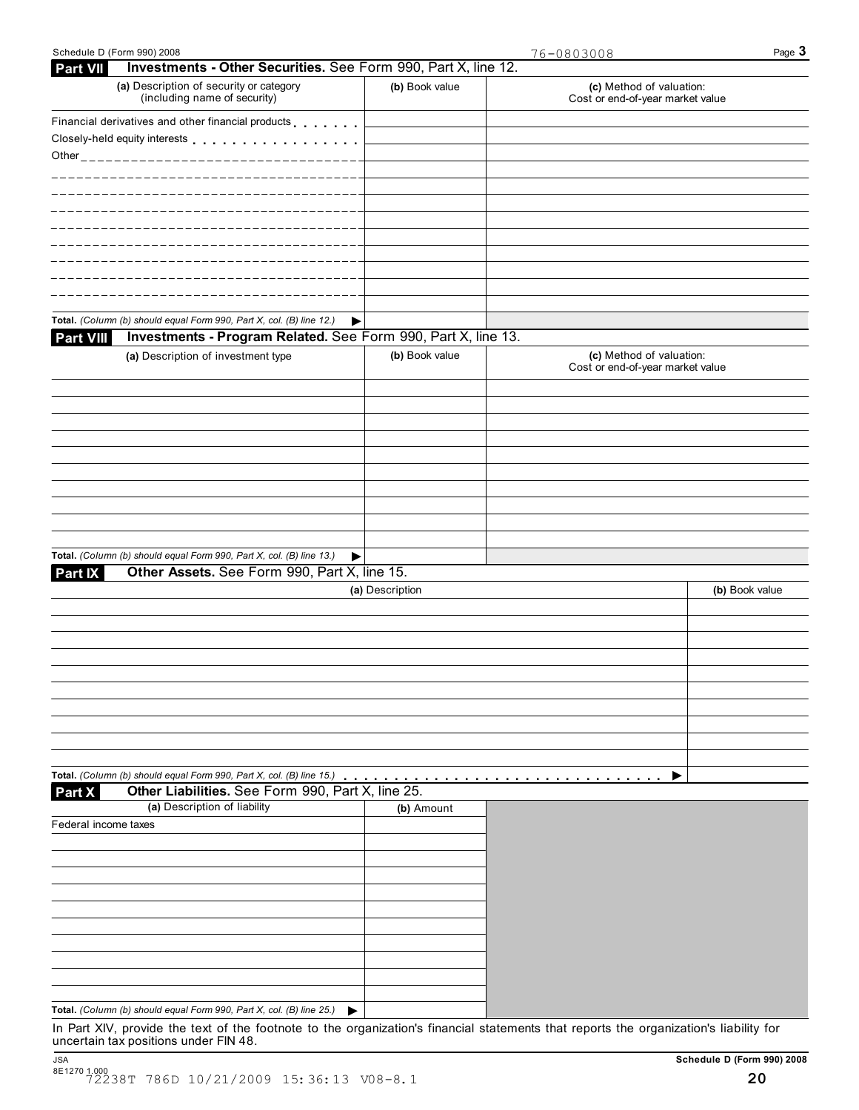| Investments - Other Securities. See Form 990, Part X, line 12.<br><b>Part VII</b> |                 |                                                              |                |
|-----------------------------------------------------------------------------------|-----------------|--------------------------------------------------------------|----------------|
| (a) Description of security or category<br>(including name of security)           | (b) Book value  | (c) Method of valuation:<br>Cost or end-of-year market value |                |
| Financial derivatives and other financial products                                |                 |                                                              |                |
| Closely-held equity interests                                                     |                 |                                                              |                |
| Other______________________________                                               |                 |                                                              |                |
|                                                                                   |                 |                                                              |                |
|                                                                                   |                 |                                                              |                |
|                                                                                   |                 |                                                              |                |
|                                                                                   |                 |                                                              |                |
|                                                                                   |                 |                                                              |                |
|                                                                                   |                 |                                                              |                |
|                                                                                   |                 |                                                              |                |
|                                                                                   |                 |                                                              |                |
|                                                                                   |                 |                                                              |                |
| Total. (Column (b) should equal Form 990, Part X, col. (B) line 12.)              | ▶               |                                                              |                |
| Investments - Program Related. See Form 990, Part X, line 13.<br><b>Part VIII</b> |                 |                                                              |                |
|                                                                                   | (b) Book value  |                                                              |                |
| (a) Description of investment type                                                |                 | (c) Method of valuation:<br>Cost or end-of-year market value |                |
|                                                                                   |                 |                                                              |                |
|                                                                                   |                 |                                                              |                |
|                                                                                   |                 |                                                              |                |
|                                                                                   |                 |                                                              |                |
|                                                                                   |                 |                                                              |                |
|                                                                                   |                 |                                                              |                |
|                                                                                   |                 |                                                              |                |
|                                                                                   |                 |                                                              |                |
|                                                                                   |                 |                                                              |                |
|                                                                                   |                 |                                                              |                |
|                                                                                   |                 |                                                              |                |
| Total. (Column (b) should equal Form 990, Part X, col. (B) line 13.)              | ▶               |                                                              |                |
| Other Assets. See Form 990, Part X, line 15.<br>Part IX                           |                 |                                                              |                |
|                                                                                   | (a) Description |                                                              | (b) Book value |
|                                                                                   |                 |                                                              |                |
|                                                                                   |                 |                                                              |                |
|                                                                                   |                 |                                                              |                |
|                                                                                   |                 |                                                              |                |
|                                                                                   |                 |                                                              |                |
|                                                                                   |                 |                                                              |                |
|                                                                                   |                 |                                                              |                |
|                                                                                   |                 |                                                              |                |
|                                                                                   |                 |                                                              |                |
|                                                                                   |                 |                                                              |                |
| Total. (Column (b) should equal Form 990, Part X, col. (B) line 15.)              |                 |                                                              |                |
| Other Liabilities. See Form 990, Part X, line 25.<br>Part X                       |                 |                                                              |                |
| (a) Description of liability                                                      | (b) Amount      |                                                              |                |
| Federal income taxes                                                              |                 |                                                              |                |
|                                                                                   |                 |                                                              |                |
|                                                                                   |                 |                                                              |                |
|                                                                                   |                 |                                                              |                |

| Total. (Column (b) should equal Form 990, Part X, col. (B) line 25.) |  |
|----------------------------------------------------------------------|--|

In Part XIV, provide the text of the footnote to the organization's financial statements that reports the organization's liability for uncertain tax positions under FIN 48.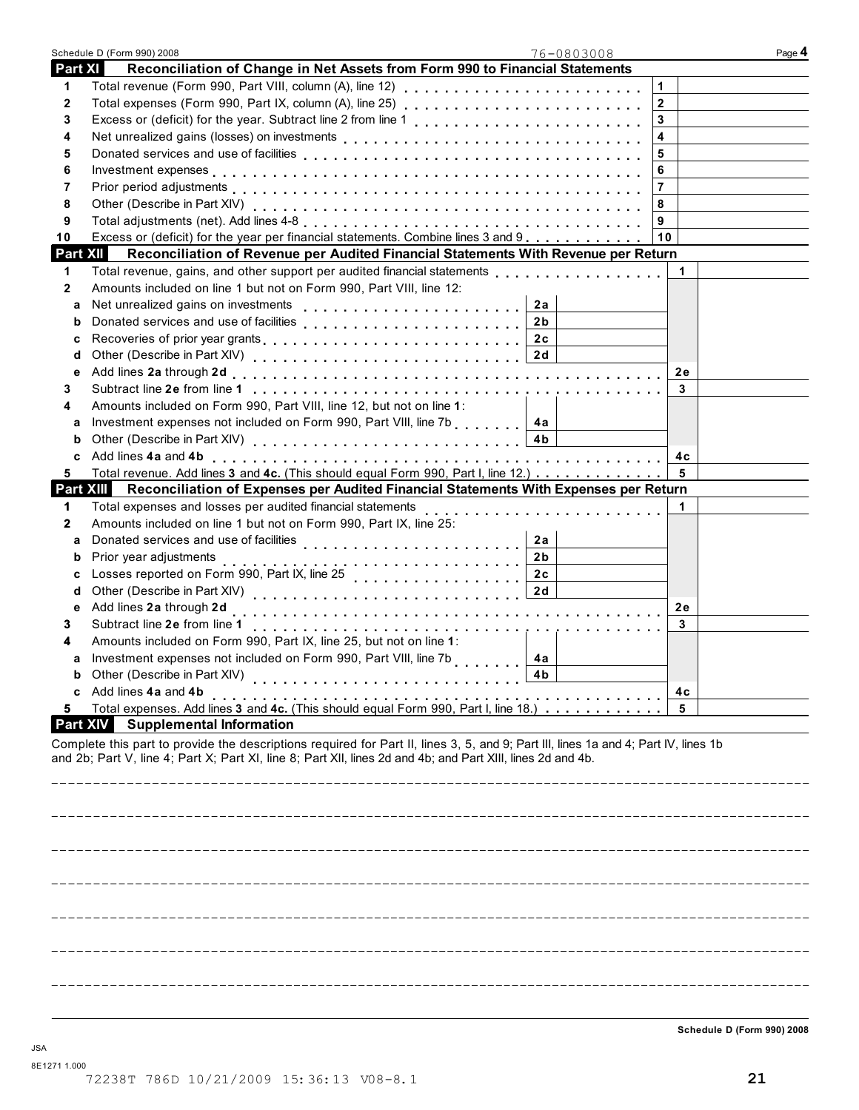|                 | Schedule D (Form 990) 2008                                                                                                                                                                                                                         | 76-0803008              | Page 4 |
|-----------------|----------------------------------------------------------------------------------------------------------------------------------------------------------------------------------------------------------------------------------------------------|-------------------------|--------|
| Part XI         | Reconciliation of Change in Net Assets from Form 990 to Financial Statements                                                                                                                                                                       |                         |        |
| 1               | Total revenue (Form 990, Part VIII, column (A), line 12)                                                                                                                                                                                           | 1                       |        |
| 2               |                                                                                                                                                                                                                                                    | $\overline{\mathbf{2}}$ |        |
| 3               |                                                                                                                                                                                                                                                    | 3                       |        |
| 4               |                                                                                                                                                                                                                                                    | 4                       |        |
| 5               |                                                                                                                                                                                                                                                    | 5                       |        |
| 6               |                                                                                                                                                                                                                                                    | 6                       |        |
| 7               |                                                                                                                                                                                                                                                    | $\overline{7}$          |        |
| 8               |                                                                                                                                                                                                                                                    | 8                       |        |
| 9               |                                                                                                                                                                                                                                                    | 9                       |        |
| 10              | Excess or (deficit) for the year per financial statements. Combine lines 3 and 9                                                                                                                                                                   | 10                      |        |
| <b>Part XII</b> | Reconciliation of Revenue per Audited Financial Statements With Revenue per Return                                                                                                                                                                 |                         |        |
| 1               |                                                                                                                                                                                                                                                    | $\mathbf 1$             |        |
| 2               | Amounts included on line 1 but not on Form 990, Part VIII, line 12:                                                                                                                                                                                |                         |        |
| a               |                                                                                                                                                                                                                                                    | 2a                      |        |
| b               |                                                                                                                                                                                                                                                    | 2 <sub>b</sub>          |        |
| с               |                                                                                                                                                                                                                                                    |                         |        |
| d               |                                                                                                                                                                                                                                                    |                         |        |
| е               |                                                                                                                                                                                                                                                    | <b>2e</b>               |        |
| 3               |                                                                                                                                                                                                                                                    | 3                       |        |
| 4               | Amounts included on Form 990, Part VIII, line 12, but not on line 1:                                                                                                                                                                               |                         |        |
| а               | Investment expenses not included on Form 990, Part VIII, line 7b   4a                                                                                                                                                                              | 4 <sub>b</sub>          |        |
| b               |                                                                                                                                                                                                                                                    | 4c                      |        |
| c<br>5          | Total revenue. Add lines 3 and 4c. (This should equal Form 990, Part I, line 12.)                                                                                                                                                                  | - 5                     |        |
| Part XIII       | Reconciliation of Expenses per Audited Financial Statements With Expenses per Return                                                                                                                                                               |                         |        |
| 1               | Total expenses and losses per audited financial statements                                                                                                                                                                                         | 1                       |        |
| 2               | Amounts included on line 1 but not on Form 990, Part IX, line 25:                                                                                                                                                                                  |                         |        |
| a               |                                                                                                                                                                                                                                                    | 2a                      |        |
| b               |                                                                                                                                                                                                                                                    | 2 <sub>b</sub>          |        |
| с               |                                                                                                                                                                                                                                                    | 2c                      |        |
| d               |                                                                                                                                                                                                                                                    | 2d                      |        |
| е               | Add lines 2a through 2d                                                                                                                                                                                                                            | <b>2e</b>               |        |
| 3               |                                                                                                                                                                                                                                                    | 3                       |        |
| 4               | Amounts included on Form 990, Part IX, line 25, but not on line 1:                                                                                                                                                                                 |                         |        |
| а               | Investment expenses not included on Form 990, Part VIII, line 7b                                                                                                                                                                                   | 4а                      |        |
|                 | Other (Describe in Part XIV)                                                                                                                                                                                                                       | 4 <sub>b</sub>          |        |
|                 | Add lines 4a and 4b                                                                                                                                                                                                                                | 4c                      |        |
| 5               | Total expenses. Add lines 3 and 4c. (This should equal Form 990, Part I, line 18.)                                                                                                                                                                 | 5                       |        |
|                 | <b>Part XIV</b> Supplemental Information                                                                                                                                                                                                           |                         |        |
|                 | Complete this part to provide the descriptions required for Part II, lines 3, 5, and 9; Part III, lines 1a and 4; Part IV, lines 1b<br>and 2b; Part V, line 4; Part X; Part XI, line 8; Part XII, lines 2d and 4b; and Part XIII, lines 2d and 4b. |                         |        |
|                 |                                                                                                                                                                                                                                                    |                         |        |
|                 |                                                                                                                                                                                                                                                    |                         |        |
|                 |                                                                                                                                                                                                                                                    |                         |        |
|                 |                                                                                                                                                                                                                                                    |                         |        |
|                 |                                                                                                                                                                                                                                                    |                         |        |
|                 |                                                                                                                                                                                                                                                    |                         |        |
|                 |                                                                                                                                                                                                                                                    |                         |        |
|                 |                                                                                                                                                                                                                                                    |                         |        |
|                 |                                                                                                                                                                                                                                                    |                         |        |
|                 |                                                                                                                                                                                                                                                    |                         |        |

**Schedule D (Form 990) 2008**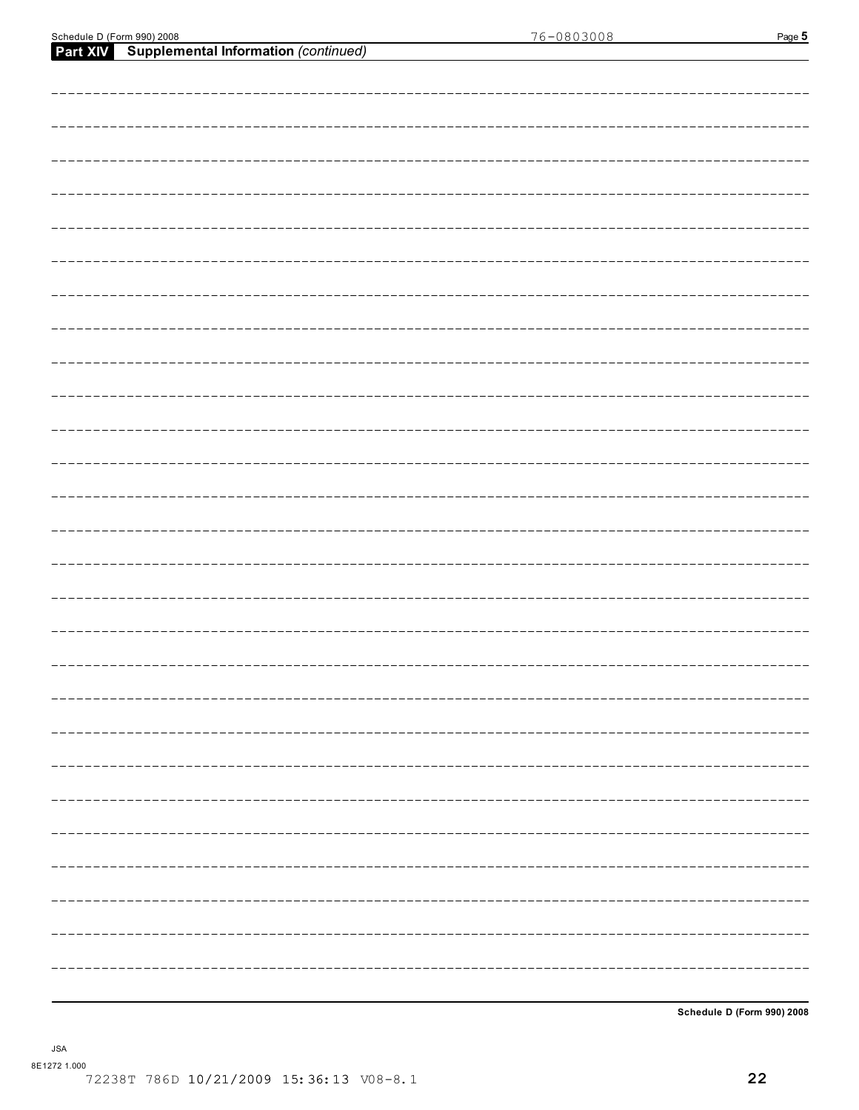**Schedule D (Form 990) 2008**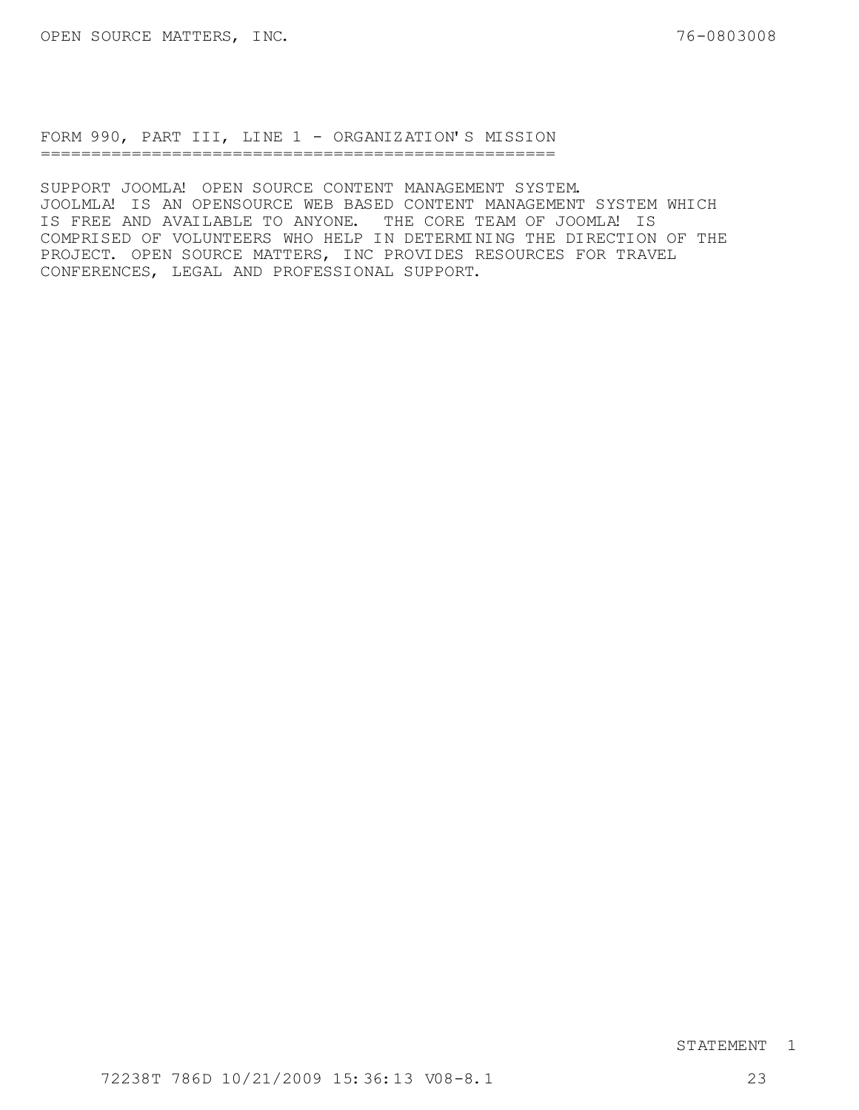FORM 990, PART III, LINE 1 - ORGANIZATION'S MISSION ===================================================

SUPPORT JOOMLA! OPEN SOURCE CONTENT MANAGEMENT SYSTEM. JOOLMLA! IS AN OPENSOURCE WEB BASED CONTENT MANAGEMENT SYSTEM WHICH IS FREE AND AVAILABLE TO ANYONE. THE CORE TEAM OF JOOMLA! IS COMPRISED OF VOLUNTEERS WHO HELP IN DETERMINING THE DIRECTION OF THE PROJECT. OPEN SOURCE MATTERS, INC PROVIDES RESOURCES FOR TRAVEL CONFERENCES, LEGAL AND PROFESSIONAL SUPPORT.

### STATEMENT 1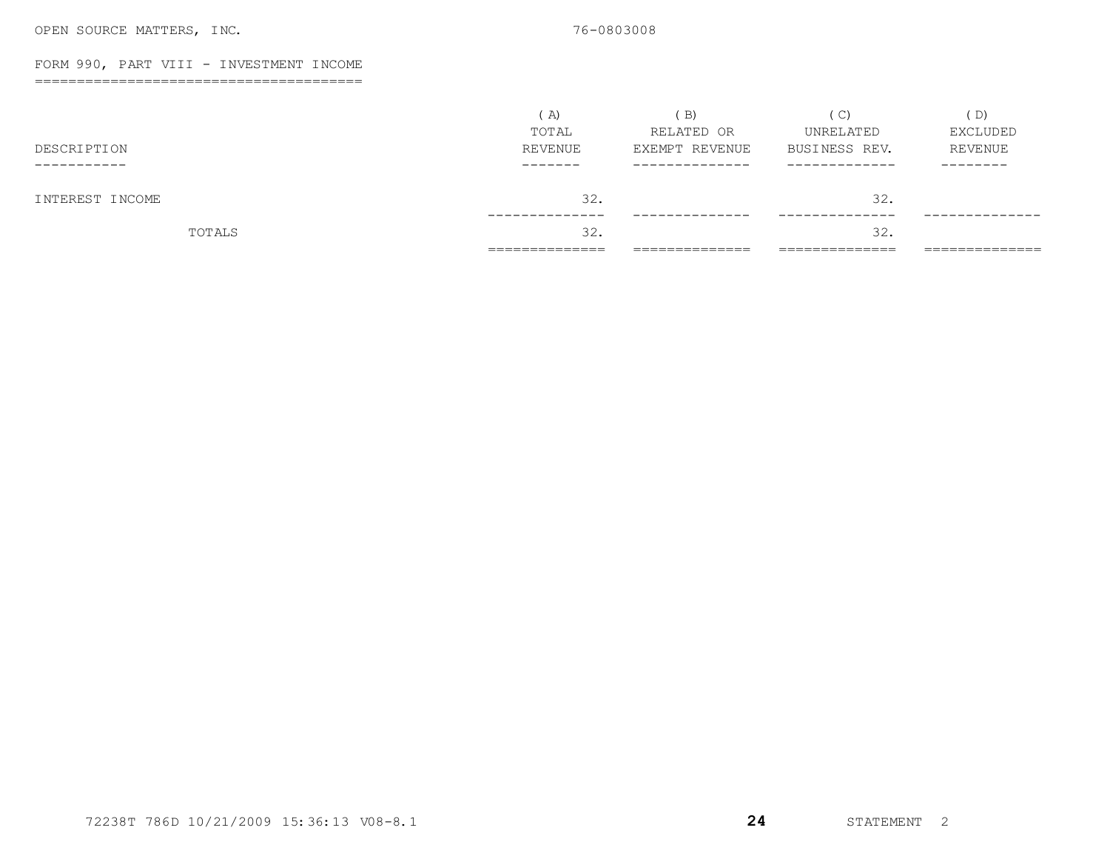#### FORM 990, PART VIII - INVESTMENT INCOME

=======================================

|                 | A)<br>TOTAL  | B)<br>RELATED OR | $\mathcal{C}$<br>UNRELATED | D)<br>EXCLUDED |
|-----------------|--------------|------------------|----------------------------|----------------|
| DESCRIPTION     | REVENUE      | EXEMPT REVENUE   | BUSINESS REV.              | REVENUE        |
| ---------       | ------       |                  |                            | --------       |
| INTEREST INCOME | 32.          |                  | 32.                        |                |
| TOTALS          | 32.          |                  | 32.                        |                |
|                 | ____________ | __________       | ___________                | ____________   |

72238T 786D 10/21/2009 15:36:13 V08-8.1 **24** STATEMENT 2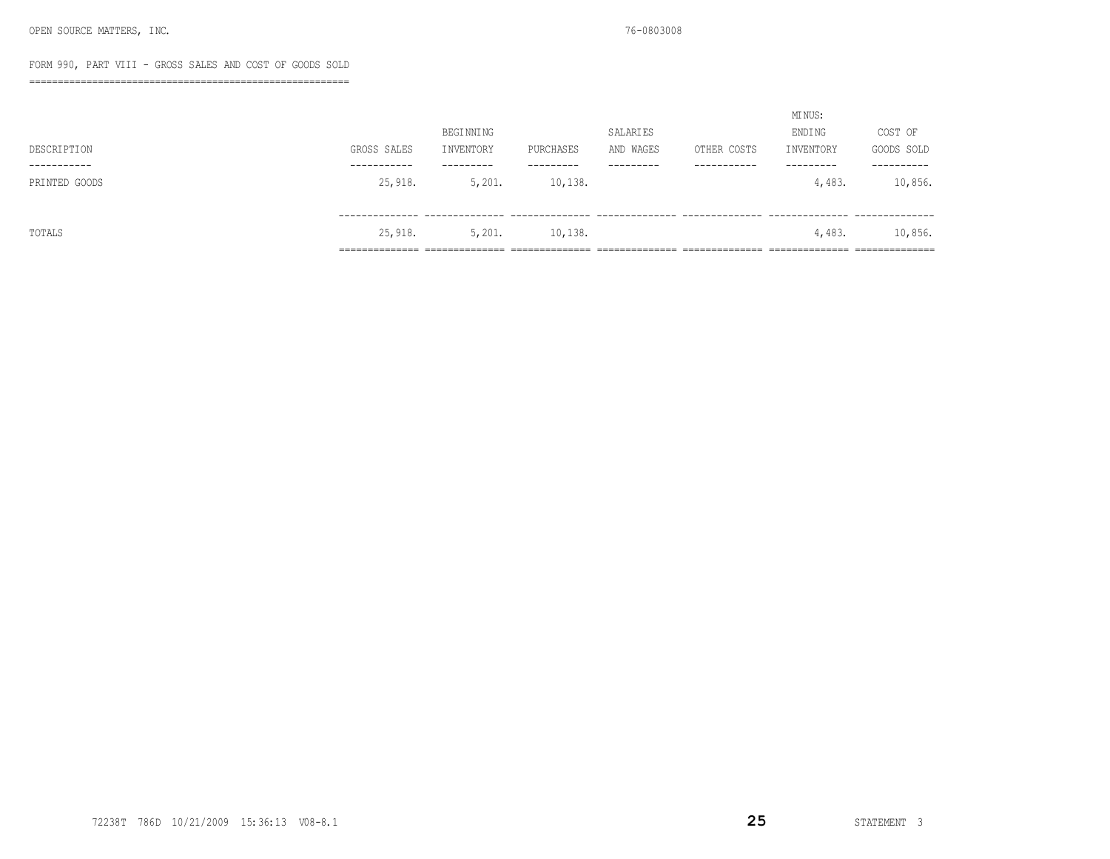### FORM 990, PART VIII - GROSS SALES AND COST OF GOODS SOLD

========================================================

|               |                |                 |                 |                |                 | MI NUS:        |                |  |
|---------------|----------------|-----------------|-----------------|----------------|-----------------|----------------|----------------|--|
|               |                | BEGINNING       |                 | SALARIES       |                 | ENDI NG        | COST OF        |  |
| DESCRIPTION   | GROSS SALES    | INVENTORY       | PURCHASES       | AND WAGES      | OTHER COSTS     | INVENTORY      | GOODS SOLD     |  |
| -----------   | -----------    | ---------       | ---------       | ---------      | -----------     | ---------      | ----------     |  |
| PRINTED GOODS | 25,918.        | 5,201.          | 10, 138.        |                |                 | 4,483.         | 10,856.        |  |
|               |                |                 |                 |                |                 |                |                |  |
|               |                |                 |                 |                |                 |                |                |  |
| TOTALS        | 25,918.        | 5,201.          | 10,138.         |                |                 | 4,483.         | 10,856.        |  |
|               | ______________ | _______________ | --------------- | ______________ | _______________ | ______________ | ______________ |  |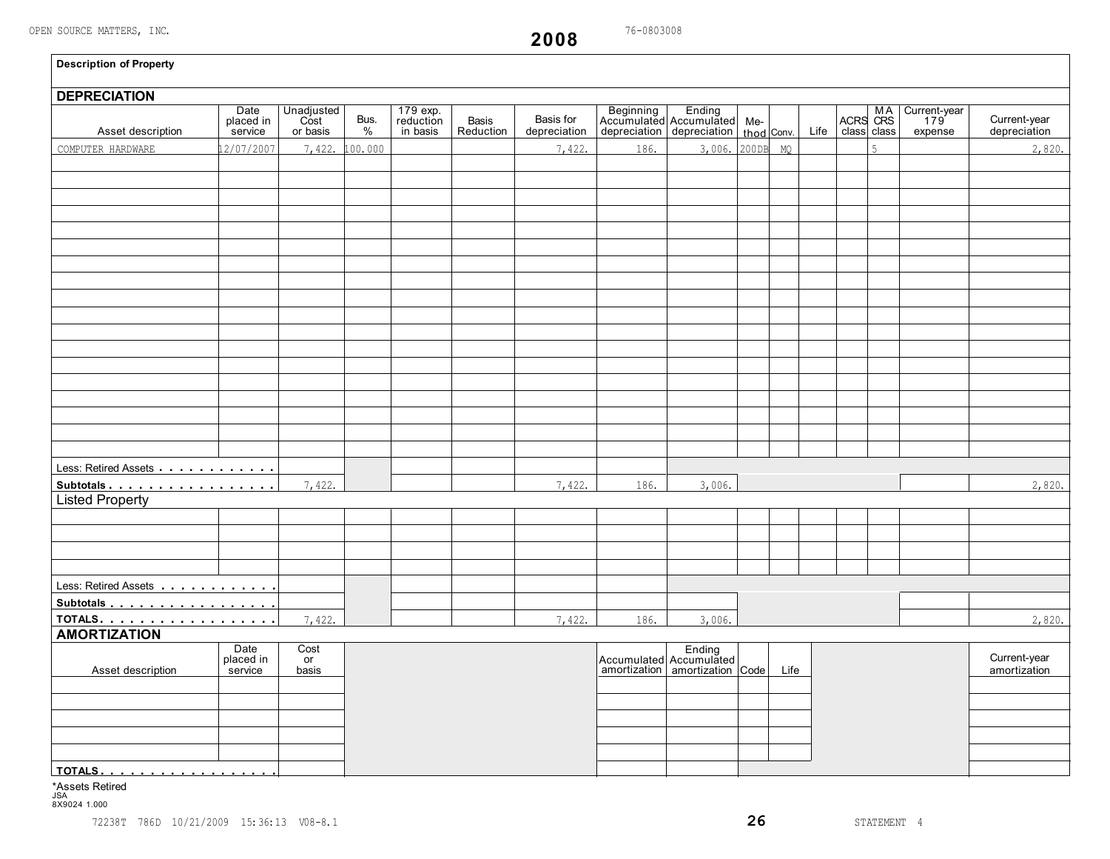**2008**

| <b>DEPRECIATION</b>                   |                              |                                |              |                                   |                           |                           |                                                                                         |                 |      |      |             |                                            |                              |
|---------------------------------------|------------------------------|--------------------------------|--------------|-----------------------------------|---------------------------|---------------------------|-----------------------------------------------------------------------------------------|-----------------|------|------|-------------|--------------------------------------------|------------------------------|
| Asset description                     | Date<br>placed in<br>service | Unadjusted<br>Cost<br>or basis | Bus.<br>$\%$ | 179 exp.<br>reduction<br>in basis | <b>Basis</b><br>Reduction | Basis for<br>depreciation | Beginning Ending<br>Accumulated Accumulated Me-<br>depreciation depreciation thod Conv. |                 |      | Life | class class | MA Current-year<br>ACRS CRS 179<br>expense | Current-year<br>depreciation |
| COMPUTER HARDWARE                     | 2/07/2007                    | 7,422.                         | .00.000      |                                   |                           | 7,422.                    | 186.                                                                                    | 3,006. 200DB MQ |      |      | 5           |                                            | 2,820.                       |
|                                       |                              |                                |              |                                   |                           |                           |                                                                                         |                 |      |      |             |                                            |                              |
|                                       |                              |                                |              |                                   |                           |                           |                                                                                         |                 |      |      |             |                                            |                              |
|                                       |                              |                                |              |                                   |                           |                           |                                                                                         |                 |      |      |             |                                            |                              |
|                                       |                              |                                |              |                                   |                           |                           |                                                                                         |                 |      |      |             |                                            |                              |
|                                       |                              |                                |              |                                   |                           |                           |                                                                                         |                 |      |      |             |                                            |                              |
|                                       |                              |                                |              |                                   |                           |                           |                                                                                         |                 |      |      |             |                                            |                              |
|                                       |                              |                                |              |                                   |                           |                           |                                                                                         |                 |      |      |             |                                            |                              |
|                                       |                              |                                |              |                                   |                           |                           |                                                                                         |                 |      |      |             |                                            |                              |
|                                       |                              |                                |              |                                   |                           |                           |                                                                                         |                 |      |      |             |                                            |                              |
|                                       |                              |                                |              |                                   |                           |                           |                                                                                         |                 |      |      |             |                                            |                              |
|                                       |                              |                                |              |                                   |                           |                           |                                                                                         |                 |      |      |             |                                            |                              |
|                                       |                              |                                |              |                                   |                           |                           |                                                                                         |                 |      |      |             |                                            |                              |
|                                       |                              |                                |              |                                   |                           |                           |                                                                                         |                 |      |      |             |                                            |                              |
|                                       |                              |                                |              |                                   |                           |                           |                                                                                         |                 |      |      |             |                                            |                              |
|                                       |                              |                                |              |                                   |                           |                           |                                                                                         |                 |      |      |             |                                            |                              |
|                                       |                              |                                |              |                                   |                           |                           |                                                                                         |                 |      |      |             |                                            |                              |
|                                       |                              |                                |              |                                   |                           |                           |                                                                                         |                 |      |      |             |                                            |                              |
|                                       |                              |                                |              |                                   |                           |                           |                                                                                         |                 |      |      |             |                                            |                              |
|                                       |                              |                                |              |                                   |                           |                           |                                                                                         |                 |      |      |             |                                            |                              |
| Less: Retired Assets                  |                              |                                |              |                                   |                           |                           |                                                                                         |                 |      |      |             |                                            |                              |
| Subtotals                             |                              | 7,422.                         |              |                                   |                           | 7,422.                    | 186.                                                                                    | 3,006.          |      |      |             |                                            | 2,820.                       |
| <b>Listed Property</b>                |                              |                                |              |                                   |                           |                           |                                                                                         |                 |      |      |             |                                            |                              |
|                                       |                              |                                |              |                                   |                           |                           |                                                                                         |                 |      |      |             |                                            |                              |
|                                       |                              |                                |              |                                   |                           |                           |                                                                                         |                 |      |      |             |                                            |                              |
|                                       |                              |                                |              |                                   |                           |                           |                                                                                         |                 |      |      |             |                                            |                              |
|                                       |                              |                                |              |                                   |                           |                           |                                                                                         |                 |      |      |             |                                            |                              |
|                                       |                              |                                |              |                                   |                           |                           |                                                                                         |                 |      |      |             |                                            |                              |
| Less: Retired Assets                  |                              |                                |              |                                   |                           |                           |                                                                                         |                 |      |      |             |                                            |                              |
| Subtotals                             |                              |                                |              |                                   |                           |                           |                                                                                         |                 |      |      |             |                                            |                              |
| <u>TOTALS.</u><br><b>AMORTIZATION</b> |                              | 7,422.                         |              |                                   |                           | 7,422.                    | 186.                                                                                    | 3,006.          |      |      |             |                                            | 2,820.                       |
|                                       | Date                         | Cost                           |              |                                   |                           |                           |                                                                                         |                 |      |      |             |                                            |                              |
|                                       | placed in                    | or                             |              |                                   |                           |                           | Accumulated Accumulated<br>amortization amortization Code                               |                 |      |      |             |                                            | Current-year                 |
| Asset description                     | service                      | basis                          |              |                                   |                           |                           |                                                                                         |                 | Life |      |             |                                            | amortization                 |
|                                       |                              |                                |              |                                   |                           |                           |                                                                                         |                 |      |      |             |                                            |                              |
|                                       |                              |                                |              |                                   |                           |                           |                                                                                         |                 |      |      |             |                                            |                              |
|                                       |                              |                                |              |                                   |                           |                           |                                                                                         |                 |      |      |             |                                            |                              |
|                                       |                              |                                |              |                                   |                           |                           |                                                                                         |                 |      |      |             |                                            |                              |
|                                       |                              |                                |              |                                   |                           |                           |                                                                                         |                 |      |      |             |                                            |                              |

# \*Assets Retired JSA 8X9024 1.000